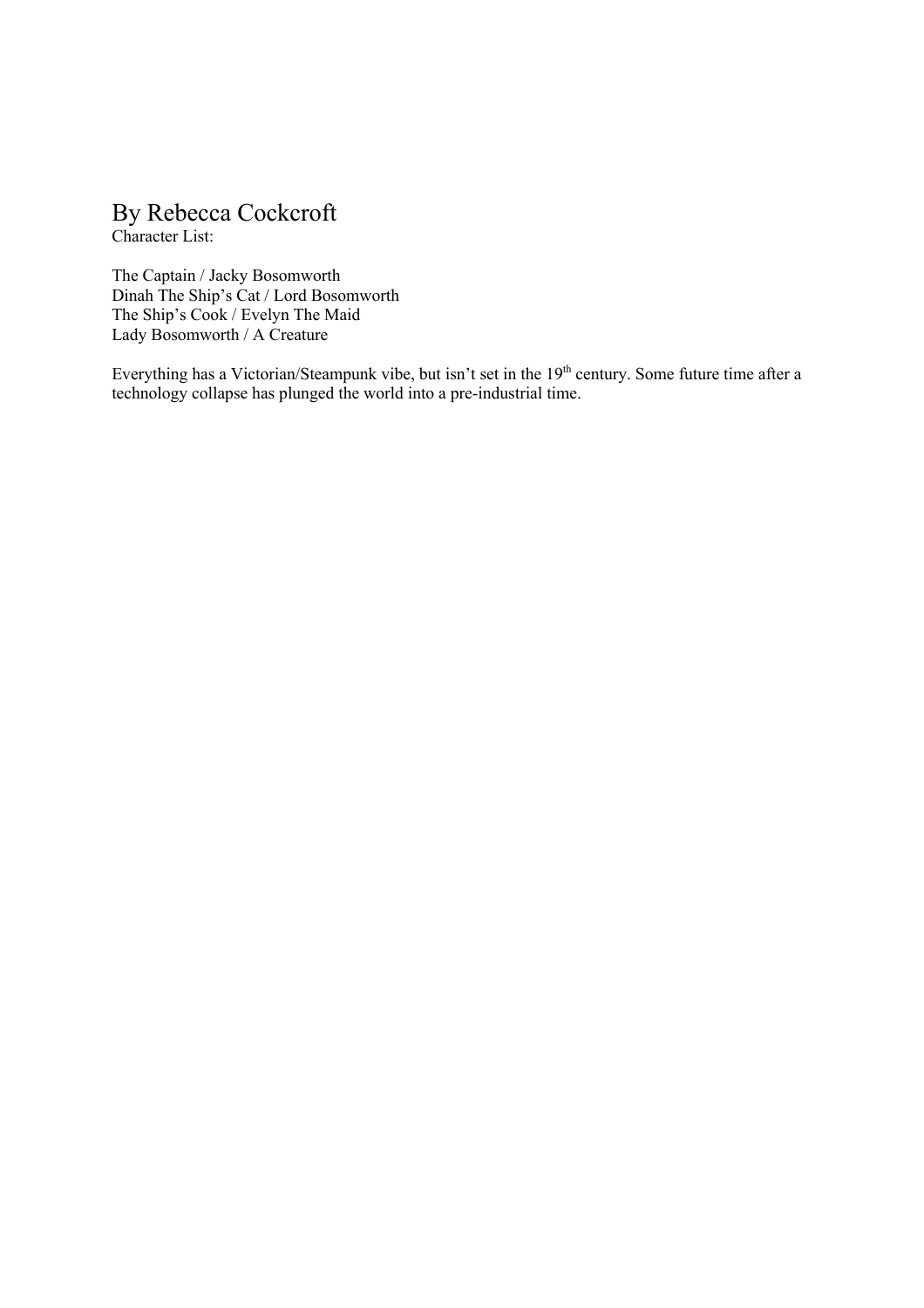# By Rebecca Cockcroft

Character List:

The Captain / Jacky Bosomworth Dinah The Ship's Cat / Lord Bosomworth The Ship's Cook / Evelyn The Maid Lady Bosomworth / A Creature

Everything has a Victorian/Steampunk vibe, but isn't set in the 19<sup>th</sup> century. Some future time after a technology collapse has plunged the world into a pre-industrial time.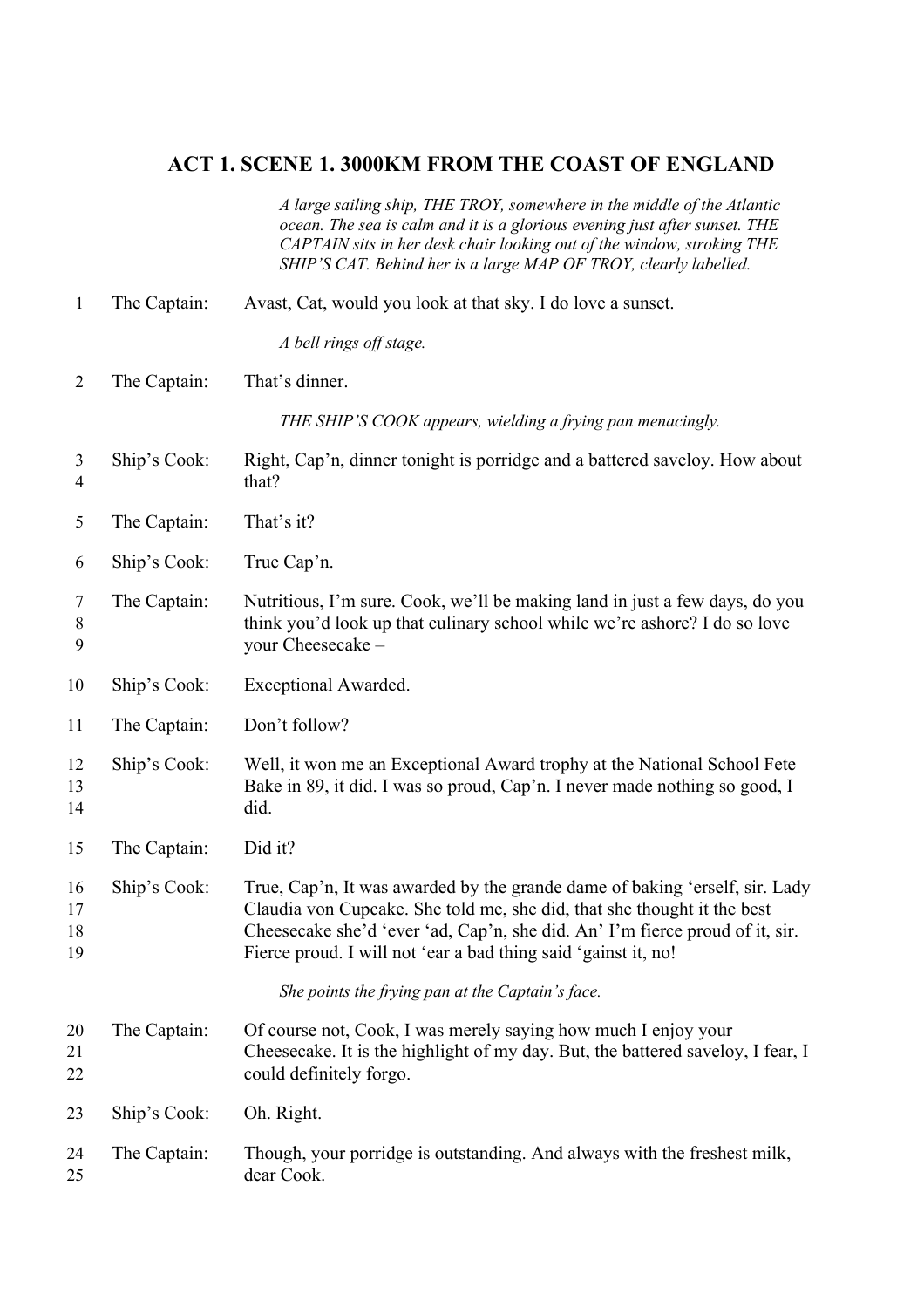# **ACT 1. SCENE 1. 3000KM FROM THE COAST OF ENGLAND**

*A large sailing ship, THE TROY, somewhere in the middle of the Atlantic ocean. The sea is calm and it is a glorious evening just after sunset. THE CAPTAIN sits in her desk chair looking out of the window, stroking THE SHIP'S CAT. Behind her is a large MAP OF TROY, clearly labelled.*

| $\mathbf{1}$         | The Captain: | Avast, Cat, would you look at that sky. I do love a sunset.                                                                                                                                                                                                                                              |
|----------------------|--------------|----------------------------------------------------------------------------------------------------------------------------------------------------------------------------------------------------------------------------------------------------------------------------------------------------------|
|                      |              | A bell rings off stage.                                                                                                                                                                                                                                                                                  |
| $\overline{2}$       | The Captain: | That's dinner.                                                                                                                                                                                                                                                                                           |
|                      |              | THE SHIP'S COOK appears, wielding a frying pan menacingly.                                                                                                                                                                                                                                               |
| 3<br>4               | Ship's Cook: | Right, Cap'n, dinner tonight is porridge and a battered saveloy. How about<br>that?                                                                                                                                                                                                                      |
| 5                    | The Captain: | That's it?                                                                                                                                                                                                                                                                                               |
| 6                    | Ship's Cook: | True Cap'n.                                                                                                                                                                                                                                                                                              |
| 7<br>8<br>9          | The Captain: | Nutritious, I'm sure. Cook, we'll be making land in just a few days, do you<br>think you'd look up that culinary school while we're ashore? I do so love<br>your Cheesecake -                                                                                                                            |
| 10                   | Ship's Cook: | Exceptional Awarded.                                                                                                                                                                                                                                                                                     |
| 11                   | The Captain: | Don't follow?                                                                                                                                                                                                                                                                                            |
| 12<br>13<br>14       | Ship's Cook: | Well, it won me an Exceptional Award trophy at the National School Fete<br>Bake in 89, it did. I was so proud, Cap'n. I never made nothing so good, I<br>did.                                                                                                                                            |
| 15                   | The Captain: | Did it?                                                                                                                                                                                                                                                                                                  |
| 16<br>17<br>18<br>19 | Ship's Cook: | True, Cap'n, It was awarded by the grande dame of baking 'erself, sir. Lady<br>Claudia von Cupcake. She told me, she did, that she thought it the best<br>Cheesecake she'd 'ever 'ad, Cap'n, she did. An' I'm fierce proud of it, sir.<br>Fierce proud. I will not 'ear a bad thing said 'gainst it, no! |
|                      |              | She points the frying pan at the Captain's face.                                                                                                                                                                                                                                                         |
| 20<br>21<br>22       | The Captain: | Of course not, Cook, I was merely saying how much I enjoy your<br>Cheesecake. It is the highlight of my day. But, the battered saveloy, I fear, I<br>could definitely forgo.                                                                                                                             |
| 23                   | Ship's Cook: | Oh. Right.                                                                                                                                                                                                                                                                                               |
| 24<br>25             | The Captain: | Though, your porridge is outstanding. And always with the freshest milk,<br>dear Cook.                                                                                                                                                                                                                   |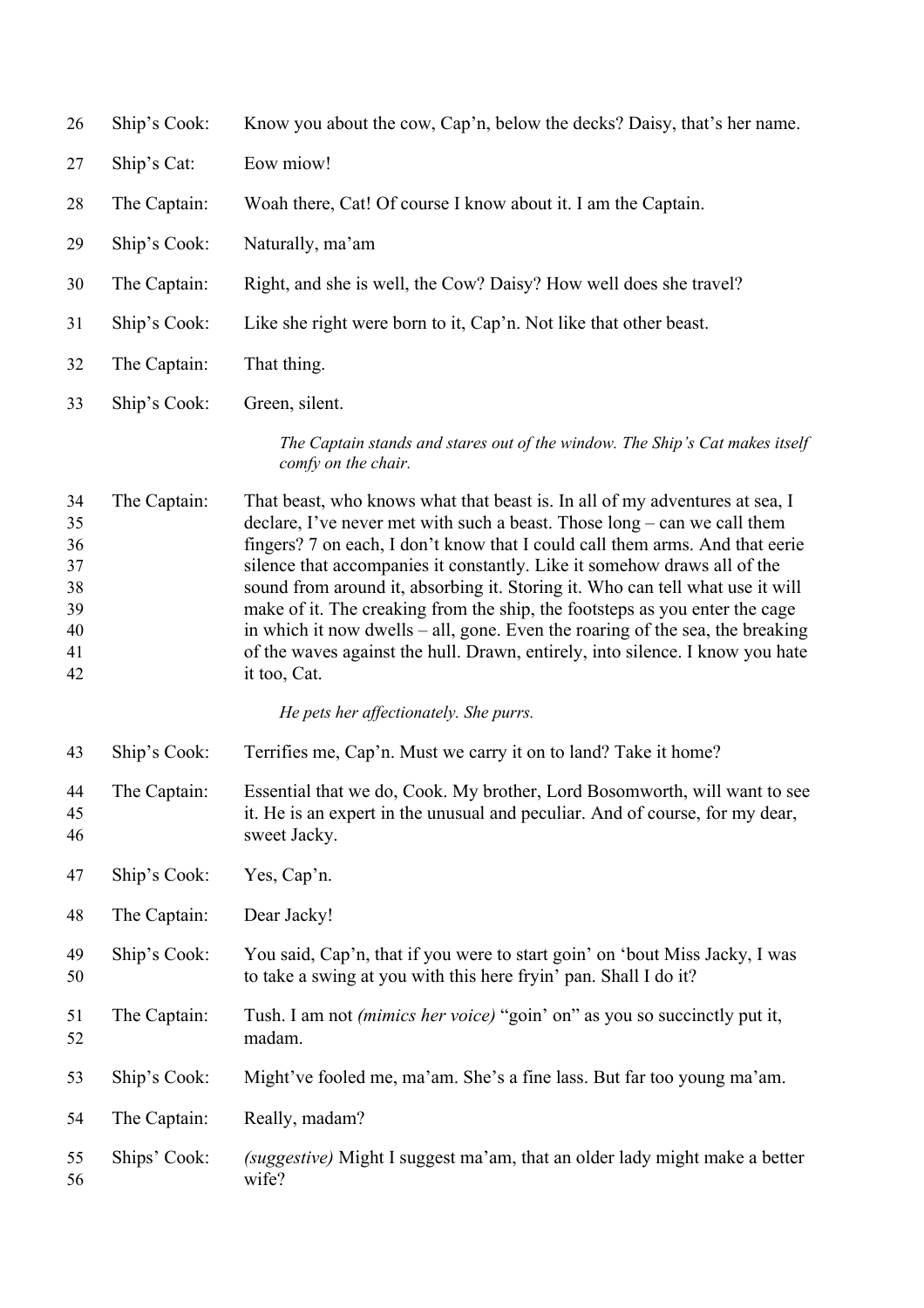| 26                                                 | Ship's Cook: | Know you about the cow, Cap'n, below the decks? Daisy, that's her name.                                                                                                                                                                                                                                                                                                                                                                                                                                                                                                                                                                                                        |
|----------------------------------------------------|--------------|--------------------------------------------------------------------------------------------------------------------------------------------------------------------------------------------------------------------------------------------------------------------------------------------------------------------------------------------------------------------------------------------------------------------------------------------------------------------------------------------------------------------------------------------------------------------------------------------------------------------------------------------------------------------------------|
| 27                                                 | Ship's Cat:  | Eow miow!                                                                                                                                                                                                                                                                                                                                                                                                                                                                                                                                                                                                                                                                      |
| 28                                                 | The Captain: | Woah there, Cat! Of course I know about it. I am the Captain.                                                                                                                                                                                                                                                                                                                                                                                                                                                                                                                                                                                                                  |
| 29                                                 | Ship's Cook: | Naturally, ma'am                                                                                                                                                                                                                                                                                                                                                                                                                                                                                                                                                                                                                                                               |
| 30                                                 | The Captain: | Right, and she is well, the Cow? Daisy? How well does she travel?                                                                                                                                                                                                                                                                                                                                                                                                                                                                                                                                                                                                              |
| 31                                                 | Ship's Cook: | Like she right were born to it, Cap'n. Not like that other beast.                                                                                                                                                                                                                                                                                                                                                                                                                                                                                                                                                                                                              |
| 32                                                 | The Captain: | That thing.                                                                                                                                                                                                                                                                                                                                                                                                                                                                                                                                                                                                                                                                    |
| 33                                                 | Ship's Cook: | Green, silent.                                                                                                                                                                                                                                                                                                                                                                                                                                                                                                                                                                                                                                                                 |
|                                                    |              | The Captain stands and stares out of the window. The Ship's Cat makes itself<br>comfy on the chair.                                                                                                                                                                                                                                                                                                                                                                                                                                                                                                                                                                            |
| 34<br>35<br>36<br>37<br>38<br>39<br>40<br>41<br>42 | The Captain: | That beast, who knows what that beast is. In all of my adventures at sea, I<br>declare, I've never met with such a beast. Those $\log - \text{can}$ we call them<br>fingers? 7 on each, I don't know that I could call them arms. And that eerie<br>silence that accompanies it constantly. Like it somehow draws all of the<br>sound from around it, absorbing it. Storing it. Who can tell what use it will<br>make of it. The creaking from the ship, the footsteps as you enter the cage<br>in which it now dwells – all, gone. Even the roaring of the sea, the breaking<br>of the waves against the hull. Drawn, entirely, into silence. I know you hate<br>it too, Cat. |
|                                                    |              | He pets her affectionately. She purrs.                                                                                                                                                                                                                                                                                                                                                                                                                                                                                                                                                                                                                                         |
| 43                                                 | Ship's Cook: | Terrifies me, Cap'n. Must we carry it on to land? Take it home?                                                                                                                                                                                                                                                                                                                                                                                                                                                                                                                                                                                                                |
| 44<br>45<br>46                                     | The Captain: | Essential that we do, Cook. My brother, Lord Bosomworth, will want to see<br>it. He is an expert in the unusual and peculiar. And of course, for my dear,<br>sweet Jacky.                                                                                                                                                                                                                                                                                                                                                                                                                                                                                                      |
| 47                                                 | Ship's Cook: | Yes, Cap'n.                                                                                                                                                                                                                                                                                                                                                                                                                                                                                                                                                                                                                                                                    |
| 48                                                 | The Captain: | Dear Jacky!                                                                                                                                                                                                                                                                                                                                                                                                                                                                                                                                                                                                                                                                    |
| 49<br>50                                           | Ship's Cook: | You said, Cap'n, that if you were to start goin' on 'bout Miss Jacky, I was<br>to take a swing at you with this here fryin' pan. Shall I do it?                                                                                                                                                                                                                                                                                                                                                                                                                                                                                                                                |
| 51<br>52                                           | The Captain: | Tush. I am not <i>(mimics her voice)</i> "goin' on" as you so succinctly put it,<br>madam.                                                                                                                                                                                                                                                                                                                                                                                                                                                                                                                                                                                     |
| 53                                                 | Ship's Cook: | Might've fooled me, ma'am. She's a fine lass. But far too young ma'am.                                                                                                                                                                                                                                                                                                                                                                                                                                                                                                                                                                                                         |
| 54                                                 | The Captain: | Really, madam?                                                                                                                                                                                                                                                                                                                                                                                                                                                                                                                                                                                                                                                                 |
| 55<br>56                                           | Ships' Cook: | (suggestive) Might I suggest ma'am, that an older lady might make a better<br>wife?                                                                                                                                                                                                                                                                                                                                                                                                                                                                                                                                                                                            |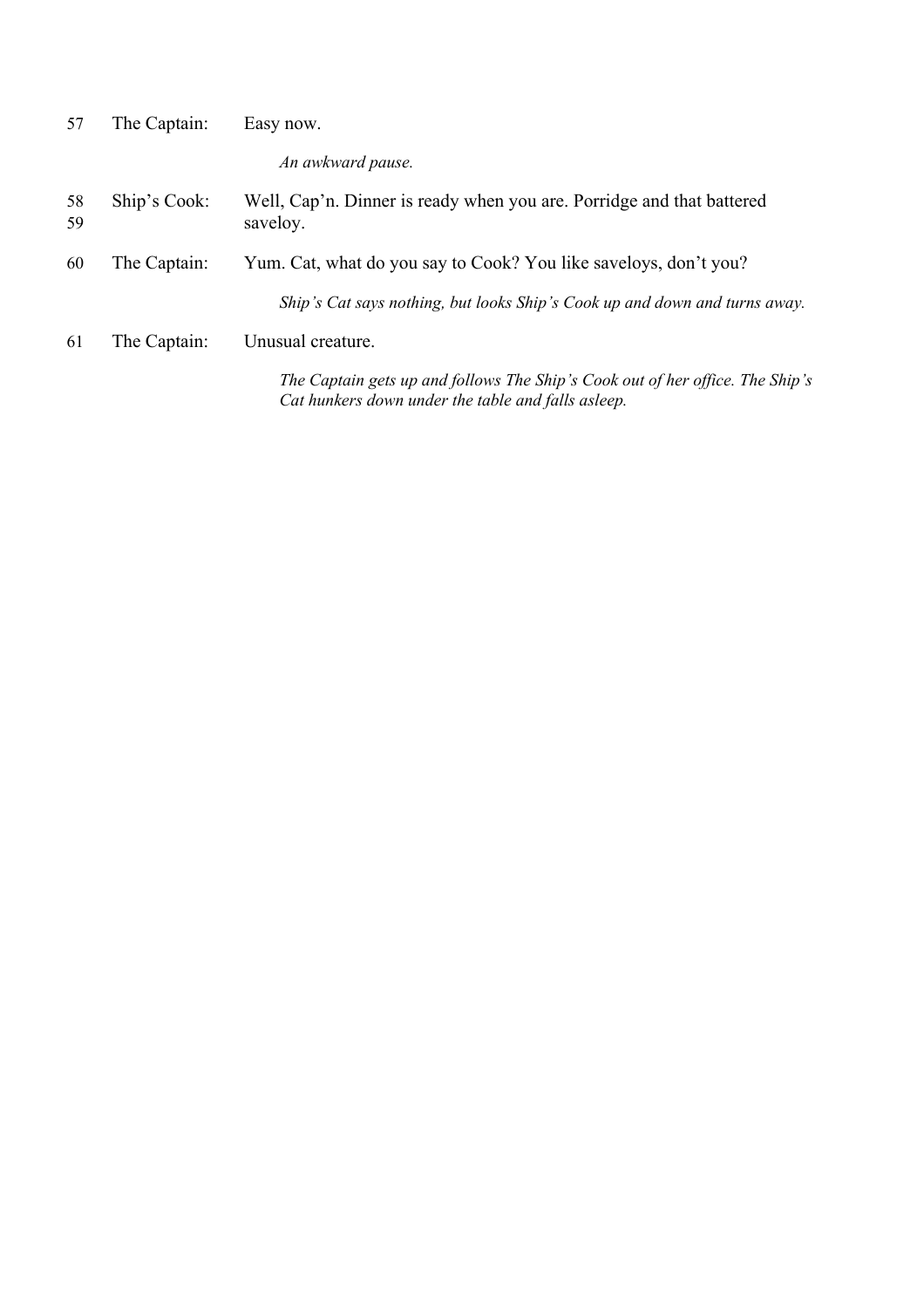| 57       | The Captain: | Easy now.                                                                         |
|----------|--------------|-----------------------------------------------------------------------------------|
|          |              | An awkward pause.                                                                 |
| 58<br>59 | Ship's Cook: | Well, Cap'n. Dinner is ready when you are. Porridge and that battered<br>saveloy. |
| 60       | The Captain: | Yum. Cat, what do you say to Cook? You like saveloys, don't you?                  |
|          |              | Ship's Cat says nothing, but looks Ship's Cook up and down and turns away.        |
| 61       | The Captain: | Unusual creature.                                                                 |
|          |              | The Captain gets up and follows The Ship's Cook out of her office. The Ship's     |

*Cat hunkers down under the table and falls asleep.*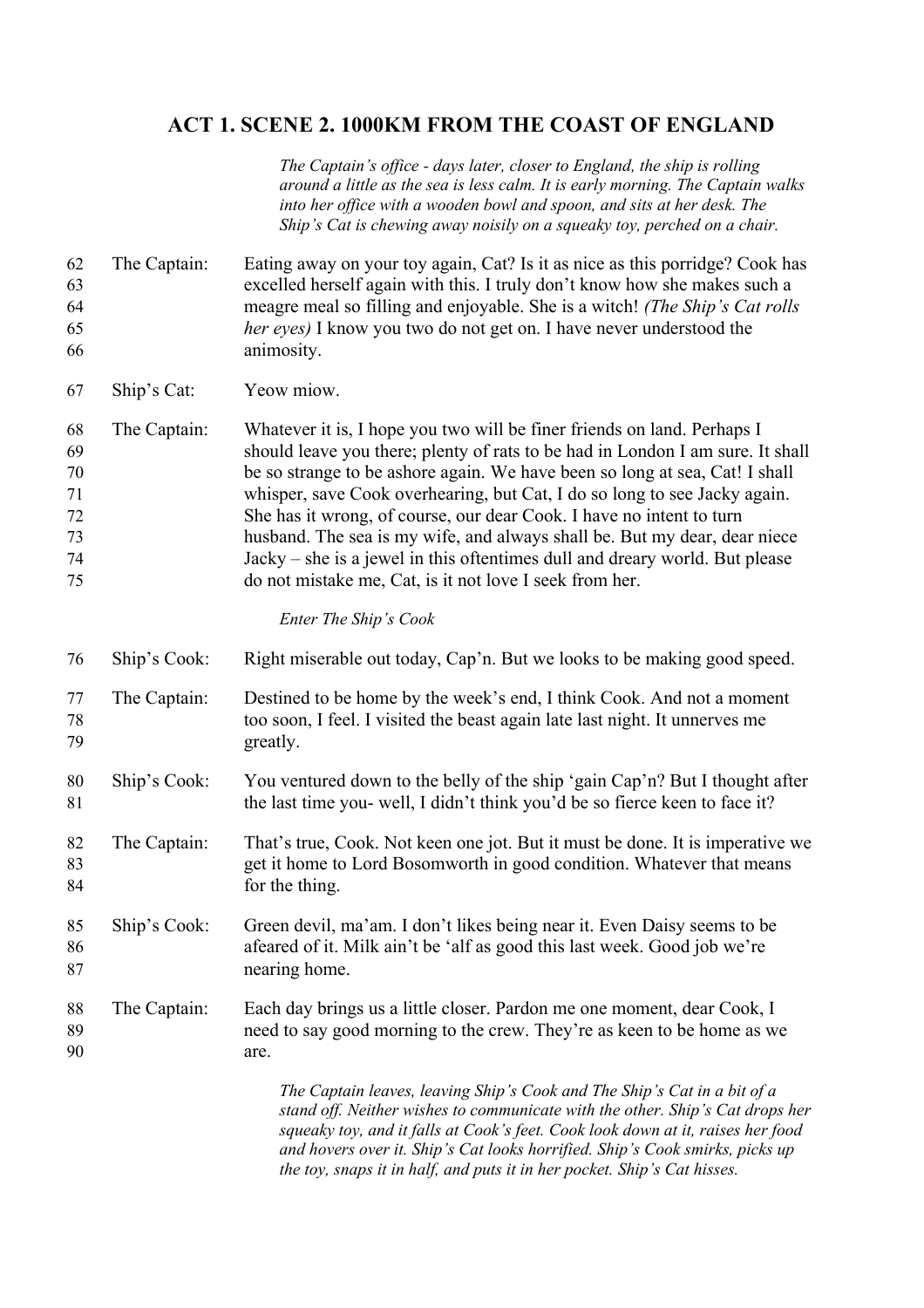# **ACT 1. SCENE 2. 1000KM FROM THE COAST OF ENGLAND**

*The Captain's office - days later, closer to England, the ship is rolling around a little as the sea is less calm. It is early morning. The Captain walks into her office with a wooden bowl and spoon, and sits at her desk. The Ship's Cat is chewing away noisily on a squeaky toy, perched on a chair.*

- The Captain: Eating away on your toy again, Cat? Is it as nice as this porridge? Cook has excelled herself again with this. I truly don't know how she makes such a meagre meal so filling and enjoyable. She is a witch! *(The Ship's Cat rolls her eyes)* I know you two do not get on. I have never understood the animosity.
- Ship's Cat: Yeow miow.
- The Captain: Whatever it is, I hope you two will be finer friends on land. Perhaps I should leave you there; plenty of rats to be had in London I am sure. It shall be so strange to be ashore again. We have been so long at sea, Cat! I shall whisper, save Cook overhearing, but Cat, I do so long to see Jacky again. She has it wrong, of course, our dear Cook. I have no intent to turn husband. The sea is my wife, and always shall be. But my dear, dear niece Jacky – she is a jewel in this oftentimes dull and dreary world. But please do not mistake me, Cat, is it not love I seek from her.

### *Enter The Ship's Cook*

| 76             | Ship's Cook: | Right miserable out today, Cap'n. But we looks to be making good speed.                                                                                                                                                                      |
|----------------|--------------|----------------------------------------------------------------------------------------------------------------------------------------------------------------------------------------------------------------------------------------------|
| 77<br>78<br>79 | The Captain: | Destined to be home by the week's end, I think Cook. And not a moment<br>too soon, I feel. I visited the beast again late last night. It unnerves me<br>greatly.                                                                             |
| 80<br>81       | Ship's Cook: | You ventured down to the belly of the ship 'gain Cap'n? But I thought after<br>the last time you- well, I didn't think you'd be so fierce keen to face it?                                                                                   |
| 82<br>83<br>84 | The Captain: | That's true, Cook. Not keen one jot. But it must be done. It is imperative we<br>get it home to Lord Bosomworth in good condition. Whatever that means<br>for the thing.                                                                     |
| 85<br>86<br>87 | Ship's Cook: | Green devil, ma'am. I don't likes being near it. Even Daisy seems to be<br>afeared of it. Milk ain't be 'alf as good this last week. Good job we're<br>nearing home.                                                                         |
| 88<br>89<br>90 | The Captain: | Each day brings us a little closer. Pardon me one moment, dear Cook, I<br>need to say good morning to the crew. They're as keen to be home as we<br>are.                                                                                     |
|                |              | The Captain leaves, leaving Ship's Cook and The Ship's Cat in a bit of a<br>stand off. Neither wishes to communicate with the other. Ship's Cat drops her<br>squeaky toy, and it falls at Cook's feet. Cook look down at it, raises her food |

*and hovers over it. Ship's Cat looks horrified. Ship's Cook smirks, picks up* 

*the toy, snaps it in half, and puts it in her pocket. Ship's Cat hisses.*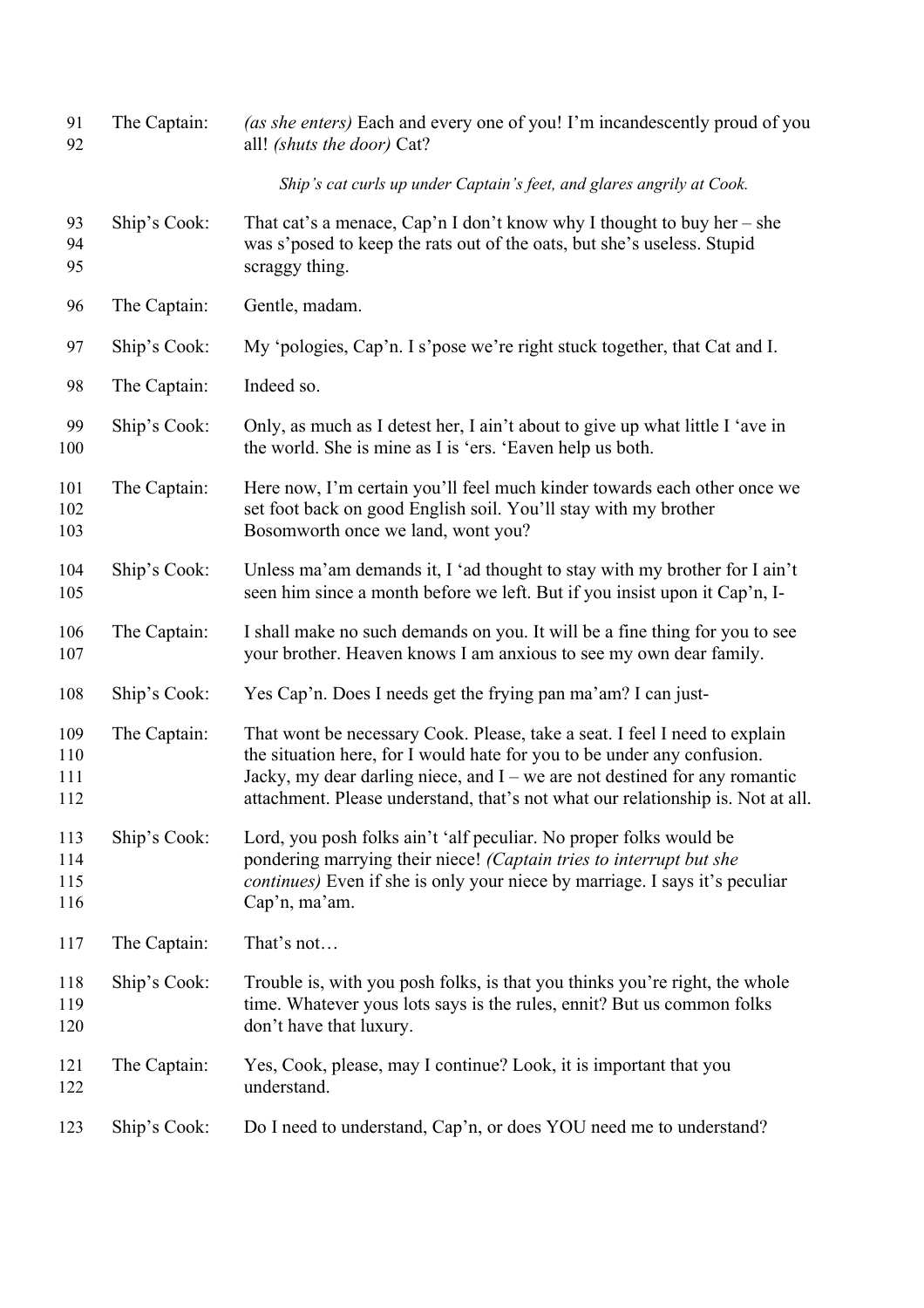| 91<br>92                 | The Captain: | (as she enters) Each and every one of you! I'm incandescently proud of you<br>all! (shuts the door) Cat?                                                                                                                                                                                                               |
|--------------------------|--------------|------------------------------------------------------------------------------------------------------------------------------------------------------------------------------------------------------------------------------------------------------------------------------------------------------------------------|
|                          |              | Ship's cat curls up under Captain's feet, and glares angrily at Cook.                                                                                                                                                                                                                                                  |
| 93<br>94<br>95           | Ship's Cook: | That cat's a menace, Cap'n I don't know why I thought to buy her – she<br>was s'posed to keep the rats out of the oats, but she's useless. Stupid<br>scraggy thing.                                                                                                                                                    |
| 96                       | The Captain: | Gentle, madam.                                                                                                                                                                                                                                                                                                         |
| 97                       | Ship's Cook: | My 'pologies, Cap'n. I s'pose we're right stuck together, that Cat and I.                                                                                                                                                                                                                                              |
| 98                       | The Captain: | Indeed so.                                                                                                                                                                                                                                                                                                             |
| 99<br>100                | Ship's Cook: | Only, as much as I detest her, I ain't about to give up what little I 'ave in<br>the world. She is mine as I is 'ers. 'Eaven help us both.                                                                                                                                                                             |
| 101<br>102<br>103        | The Captain: | Here now, I'm certain you'll feel much kinder towards each other once we<br>set foot back on good English soil. You'll stay with my brother<br>Bosomworth once we land, wont you?                                                                                                                                      |
| 104<br>105               | Ship's Cook: | Unless ma'am demands it, I 'ad thought to stay with my brother for I ain't<br>seen him since a month before we left. But if you insist upon it Cap'n, I-                                                                                                                                                               |
| 106<br>107               | The Captain: | I shall make no such demands on you. It will be a fine thing for you to see<br>your brother. Heaven knows I am anxious to see my own dear family.                                                                                                                                                                      |
| 108                      | Ship's Cook: | Yes Cap'n. Does I needs get the frying pan ma'am? I can just-                                                                                                                                                                                                                                                          |
| 109<br>110<br>111<br>112 | The Captain: | That wont be necessary Cook. Please, take a seat. I feel I need to explain<br>the situation here, for I would hate for you to be under any confusion.<br>Jacky, my dear darling niece, and I – we are not destined for any romantic<br>attachment. Please understand, that's not what our relationship is. Not at all. |
| 113<br>114<br>115<br>116 | Ship's Cook: | Lord, you posh folks ain't 'alf peculiar. No proper folks would be<br>pondering marrying their niece! (Captain tries to interrupt but she<br>continues) Even if she is only your niece by marriage. I says it's peculiar<br>Cap'n, ma'am.                                                                              |
| 117                      | The Captain: | That's not                                                                                                                                                                                                                                                                                                             |
| 118<br>119<br>120        | Ship's Cook: | Trouble is, with you posh folks, is that you thinks you're right, the whole<br>time. Whatever yous lots says is the rules, ennit? But us common folks<br>don't have that luxury.                                                                                                                                       |
| 121<br>122               | The Captain: | Yes, Cook, please, may I continue? Look, it is important that you<br>understand.                                                                                                                                                                                                                                       |
| 123                      | Ship's Cook: | Do I need to understand, Cap'n, or does YOU need me to understand?                                                                                                                                                                                                                                                     |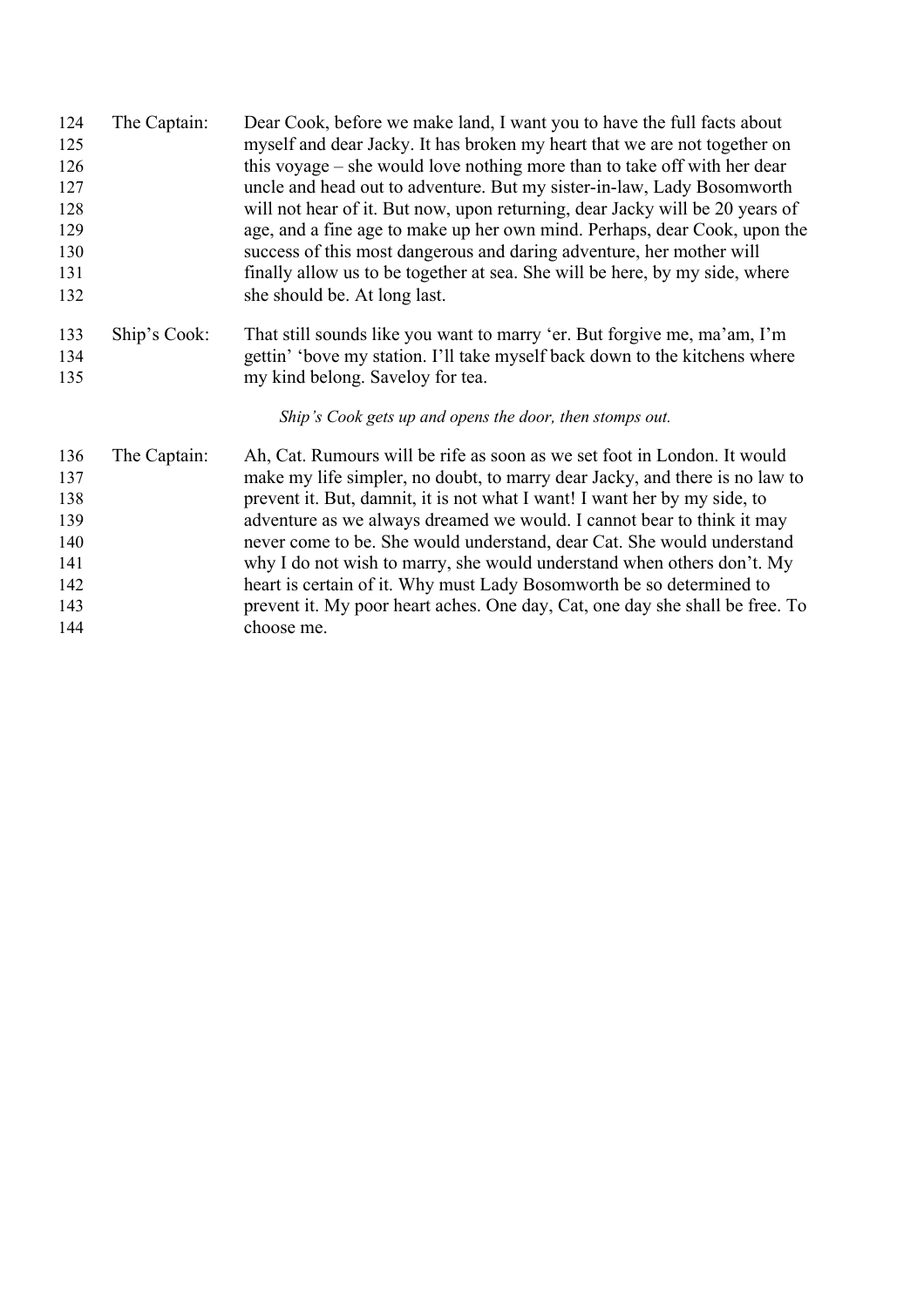| 124 | The Captain: | Dear Cook, before we make land, I want you to have the full facts about      |
|-----|--------------|------------------------------------------------------------------------------|
| 125 |              | myself and dear Jacky. It has broken my heart that we are not together on    |
| 126 |              | this voyage – she would love nothing more than to take off with her dear     |
| 127 |              | uncle and head out to adventure. But my sister-in-law, Lady Bosomworth       |
| 128 |              | will not hear of it. But now, upon returning, dear Jacky will be 20 years of |
| 129 |              | age, and a fine age to make up her own mind. Perhaps, dear Cook, upon the    |
| 130 |              | success of this most dangerous and daring adventure, her mother will         |
| 131 |              | finally allow us to be together at sea. She will be here, by my side, where  |
| 132 |              | she should be. At long last.                                                 |
| 133 | Ship's Cook: | That still sounds like you want to marry 'er. But forgive me, ma'am, I'm     |
| 134 |              | gettin' 'bove my station. I'll take myself back down to the kitchens where   |
| 135 |              | my kind belong. Saveloy for tea.                                             |
|     |              | Ship's Cook gets up and opens the door, then stomps out.                     |
| 136 | The Captain: | Ah, Cat. Rumours will be rife as soon as we set foot in London. It would     |
| 137 |              | make my life simpler, no doubt, to marry dear Jacky, and there is no law to  |
| 138 |              | prevent it. But, damnit, it is not what I want! I want her by my side, to    |
| 139 |              | adventure as we always dreamed we would. I cannot bear to think it may       |
| 140 |              | never come to be. She would understand, dear Cat. She would understand       |
| 141 |              | why I do not wish to marry, she would understand when others don't. My       |
| 142 |              | heart is certain of it. Why must Lady Bosomworth be so determined to         |
| 143 |              | prevent it. My poor heart aches. One day, Cat, one day she shall be free. To |
| 144 |              | choose me.                                                                   |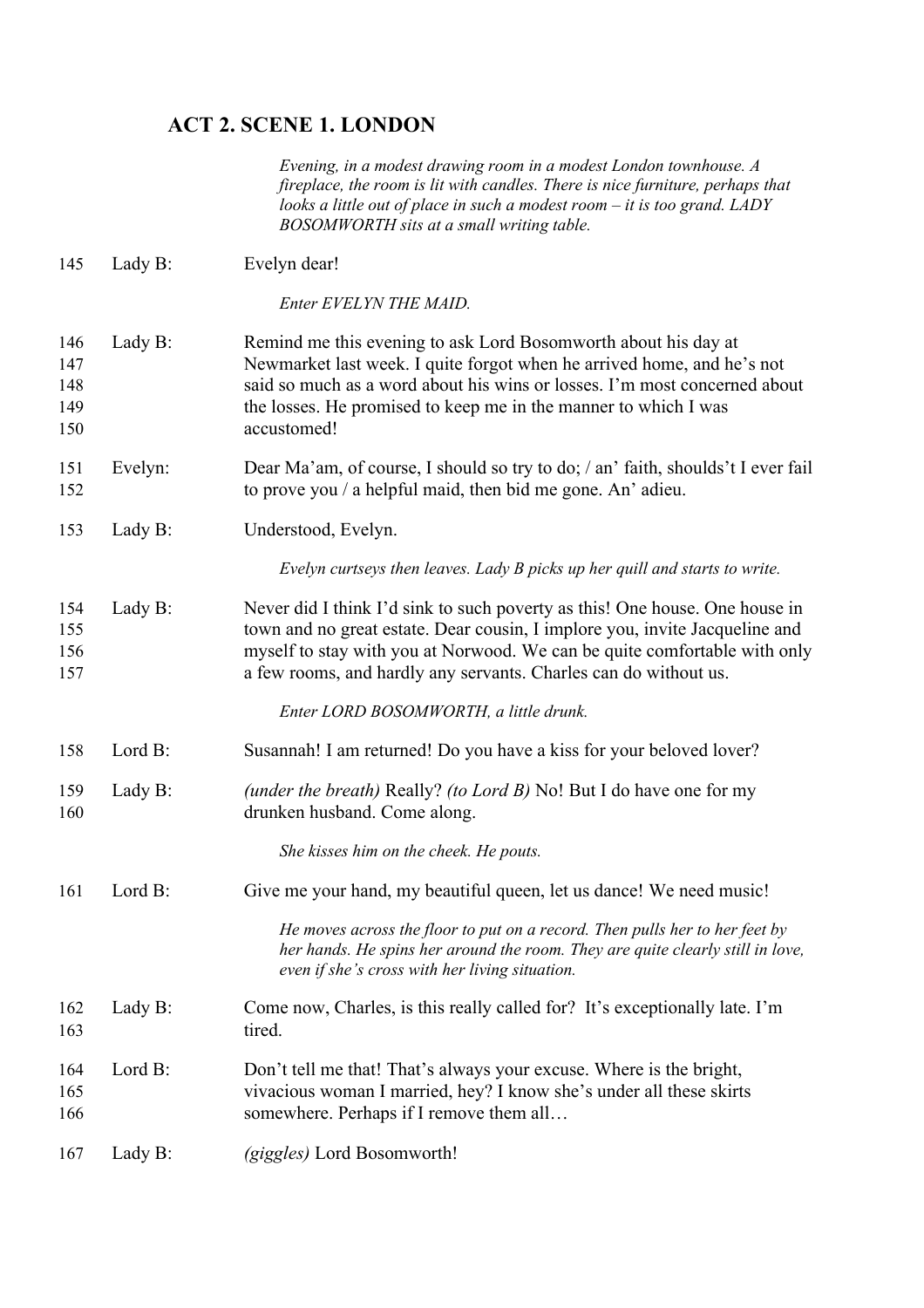## **ACT 2. SCENE 1. LONDON**

*Evening, in a modest drawing room in a modest London townhouse. A fireplace, the room is lit with candles. There is nice furniture, perhaps that looks a little out of place in such a modest room – it is too grand. LADY BOSOMWORTH sits at a small writing table.*

| 145                             | Lady B: | Evelyn dear!                                                                                                                                                                                                                                                                                                |
|---------------------------------|---------|-------------------------------------------------------------------------------------------------------------------------------------------------------------------------------------------------------------------------------------------------------------------------------------------------------------|
|                                 |         | Enter EVELYN THE MAID.                                                                                                                                                                                                                                                                                      |
| 146<br>147<br>148<br>149<br>150 | Lady B: | Remind me this evening to ask Lord Bosomworth about his day at<br>Newmarket last week. I quite forgot when he arrived home, and he's not<br>said so much as a word about his wins or losses. I'm most concerned about<br>the losses. He promised to keep me in the manner to which I was<br>accustomed!     |
| 151<br>152                      | Evelyn: | Dear Ma'am, of course, I should so try to do; / an' faith, shoulds't I ever fail<br>to prove you $\ell$ a helpful maid, then bid me gone. An' adieu.                                                                                                                                                        |
| 153                             | Lady B: | Understood, Evelyn.                                                                                                                                                                                                                                                                                         |
|                                 |         | Evelyn curtseys then leaves. Lady B picks up her quill and starts to write.                                                                                                                                                                                                                                 |
| 154<br>155<br>156<br>157        | Lady B: | Never did I think I'd sink to such poverty as this! One house. One house in<br>town and no great estate. Dear cousin, I implore you, invite Jacqueline and<br>myself to stay with you at Norwood. We can be quite comfortable with only<br>a few rooms, and hardly any servants. Charles can do without us. |
|                                 |         | Enter LORD BOSOMWORTH, a little drunk.                                                                                                                                                                                                                                                                      |
| 158                             | Lord B: | Susannah! I am returned! Do you have a kiss for your beloved lover?                                                                                                                                                                                                                                         |
| 159<br>160                      | Lady B: | (under the breath) Really? (to Lord B) No! But I do have one for my<br>drunken husband. Come along.                                                                                                                                                                                                         |
|                                 |         | She kisses him on the cheek. He pouts.                                                                                                                                                                                                                                                                      |
| 161                             | Lord B: | Give me your hand, my beautiful queen, let us dance! We need music!                                                                                                                                                                                                                                         |
|                                 |         | He moves across the floor to put on a record. Then pulls her to her feet by<br>her hands. He spins her around the room. They are quite clearly still in love,<br>even if she's cross with her living situation.                                                                                             |
| 162<br>163                      | Lady B: | Come now, Charles, is this really called for? It's exceptionally late. I'm<br>tired.                                                                                                                                                                                                                        |
| 164<br>165<br>166               | Lord B: | Don't tell me that! That's always your excuse. Where is the bright,<br>vivacious woman I married, hey? I know she's under all these skirts<br>somewhere. Perhaps if I remove them all                                                                                                                       |
| 167                             | Lady B: | (giggles) Lord Bosomworth!                                                                                                                                                                                                                                                                                  |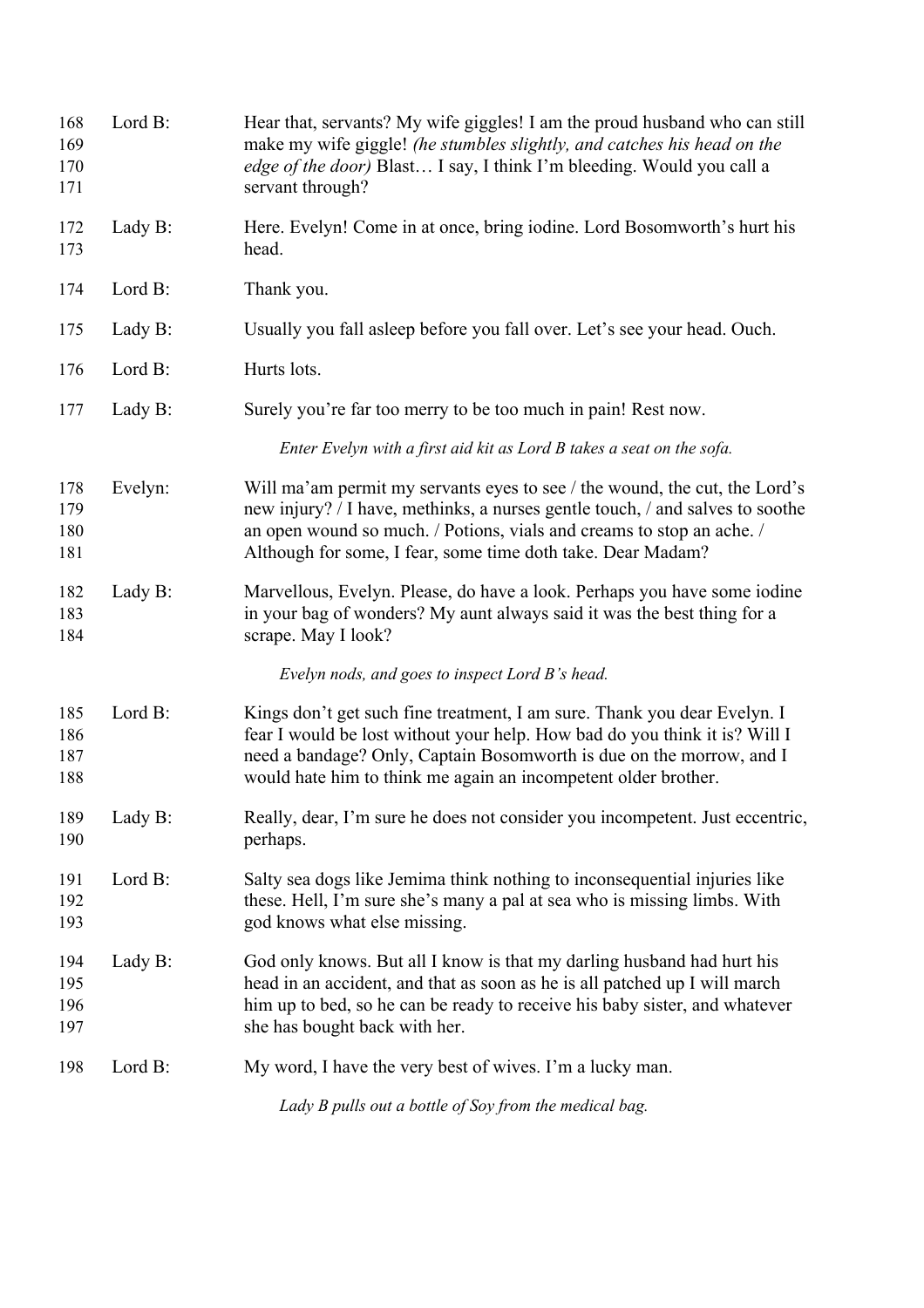| 168<br>169<br>170<br>171 | Lord B: | Hear that, servants? My wife giggles! I am the proud husband who can still<br>make my wife giggle! (he stumbles slightly, and catches his head on the<br><i>edge of the door</i> ) Blast I say, I think I'm bleeding. Would you call a<br>servant through?                                          |
|--------------------------|---------|-----------------------------------------------------------------------------------------------------------------------------------------------------------------------------------------------------------------------------------------------------------------------------------------------------|
| 172<br>173               | Lady B: | Here. Evelyn! Come in at once, bring iodine. Lord Bosomworth's hurt his<br>head.                                                                                                                                                                                                                    |
| 174                      | Lord B: | Thank you.                                                                                                                                                                                                                                                                                          |
| 175                      | Lady B: | Usually you fall asleep before you fall over. Let's see your head. Ouch.                                                                                                                                                                                                                            |
| 176                      | Lord B: | Hurts lots.                                                                                                                                                                                                                                                                                         |
| 177                      | Lady B: | Surely you're far too merry to be too much in pain! Rest now.                                                                                                                                                                                                                                       |
|                          |         | Enter Evelyn with a first aid kit as Lord B takes a seat on the sofa.                                                                                                                                                                                                                               |
| 178<br>179<br>180<br>181 | Evelyn: | Will ma'am permit my servants eyes to see / the wound, the cut, the Lord's<br>new injury? / I have, methinks, a nurses gentle touch, / and salves to soothe<br>an open wound so much. / Potions, vials and creams to stop an ache. /<br>Although for some, I fear, some time doth take. Dear Madam? |
| 182<br>183<br>184        | Lady B: | Marvellous, Evelyn. Please, do have a look. Perhaps you have some iodine<br>in your bag of wonders? My aunt always said it was the best thing for a<br>scrape. May I look?                                                                                                                          |
|                          |         | Evelyn nods, and goes to inspect Lord B's head.                                                                                                                                                                                                                                                     |
| 185<br>186<br>187<br>188 | Lord B: | Kings don't get such fine treatment, I am sure. Thank you dear Evelyn. I<br>fear I would be lost without your help. How bad do you think it is? Will I<br>need a bandage? Only, Captain Bosomworth is due on the morrow, and I<br>would hate him to think me again an incompetent older brother.    |
| 189<br>190               | Lady B: | Really, dear, I'm sure he does not consider you incompetent. Just eccentric,<br>perhaps.                                                                                                                                                                                                            |
| 191<br>192<br>193        | Lord B: | Salty sea dogs like Jemima think nothing to inconsequential injuries like<br>these. Hell, I'm sure she's many a pal at sea who is missing limbs. With<br>god knows what else missing.                                                                                                               |
| 194<br>195<br>196<br>197 | Lady B: | God only knows. But all I know is that my darling husband had hurt his<br>head in an accident, and that as soon as he is all patched up I will march<br>him up to bed, so he can be ready to receive his baby sister, and whatever<br>she has bought back with her.                                 |
| 198                      | Lord B: | My word, I have the very best of wives. I'm a lucky man.                                                                                                                                                                                                                                            |
|                          |         | Lady B pulls out a bottle of Soy from the medical bag.                                                                                                                                                                                                                                              |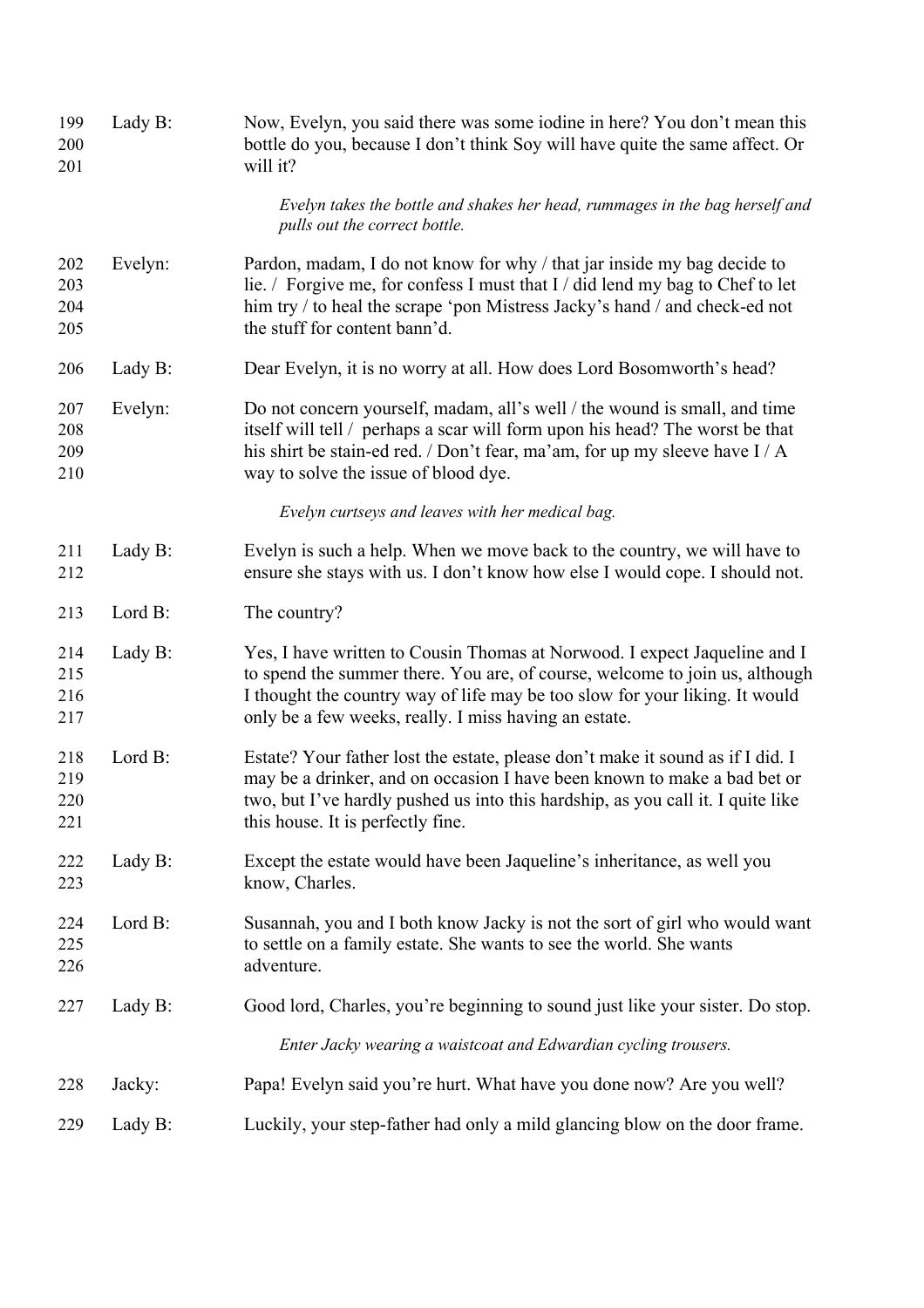| 199<br>200<br>201        | Lady B: | Now, Evelyn, you said there was some iodine in here? You don't mean this<br>bottle do you, because I don't think Soy will have quite the same affect. Or<br>will it?                                                                                                                             |
|--------------------------|---------|--------------------------------------------------------------------------------------------------------------------------------------------------------------------------------------------------------------------------------------------------------------------------------------------------|
|                          |         | Evelyn takes the bottle and shakes her head, rummages in the bag herself and<br>pulls out the correct bottle.                                                                                                                                                                                    |
| 202<br>203<br>204<br>205 | Evelyn: | Pardon, madam, I do not know for why / that jar inside my bag decide to<br>lie. / Forgive me, for confess I must that I / did lend my bag to Chef to let<br>him try / to heal the scrape 'pon Mistress Jacky's hand / and check-ed not<br>the stuff for content bann'd.                          |
| 206                      | Lady B: | Dear Evelyn, it is no worry at all. How does Lord Bosomworth's head?                                                                                                                                                                                                                             |
| 207<br>208<br>209<br>210 | Evelyn: | Do not concern yourself, madam, all's well / the wound is small, and time<br>itself will tell / perhaps a scar will form upon his head? The worst be that<br>his shirt be stain-ed red. / Don't fear, ma'am, for up my sleeve have I / A<br>way to solve the issue of blood dye.                 |
|                          |         | Evelyn curtseys and leaves with her medical bag.                                                                                                                                                                                                                                                 |
| 211<br>212               | Lady B: | Evelyn is such a help. When we move back to the country, we will have to<br>ensure she stays with us. I don't know how else I would cope. I should not.                                                                                                                                          |
| 213                      | Lord B: | The country?                                                                                                                                                                                                                                                                                     |
| 214<br>215<br>216<br>217 | Lady B: | Yes, I have written to Cousin Thomas at Norwood. I expect Jaqueline and I<br>to spend the summer there. You are, of course, welcome to join us, although<br>I thought the country way of life may be too slow for your liking. It would<br>only be a few weeks, really. I miss having an estate. |
| 218<br>219<br>220<br>221 | Lord B: | Estate? Your father lost the estate, please don't make it sound as if I did. I<br>may be a drinker, and on occasion I have been known to make a bad bet or<br>two, but I've hardly pushed us into this hardship, as you call it. I quite like<br>this house. It is perfectly fine.               |
| 222<br>223               | Lady B: | Except the estate would have been Jaqueline's inheritance, as well you<br>know, Charles.                                                                                                                                                                                                         |
| 224<br>225<br>226        | Lord B: | Susannah, you and I both know Jacky is not the sort of girl who would want<br>to settle on a family estate. She wants to see the world. She wants<br>adventure.                                                                                                                                  |
| 227                      | Lady B: | Good lord, Charles, you're beginning to sound just like your sister. Do stop.                                                                                                                                                                                                                    |
|                          |         | Enter Jacky wearing a waistcoat and Edwardian cycling trousers.                                                                                                                                                                                                                                  |
| 228                      | Jacky:  | Papa! Evelyn said you're hurt. What have you done now? Are you well?                                                                                                                                                                                                                             |
| 229                      | Lady B: | Luckily, your step-father had only a mild glancing blow on the door frame.                                                                                                                                                                                                                       |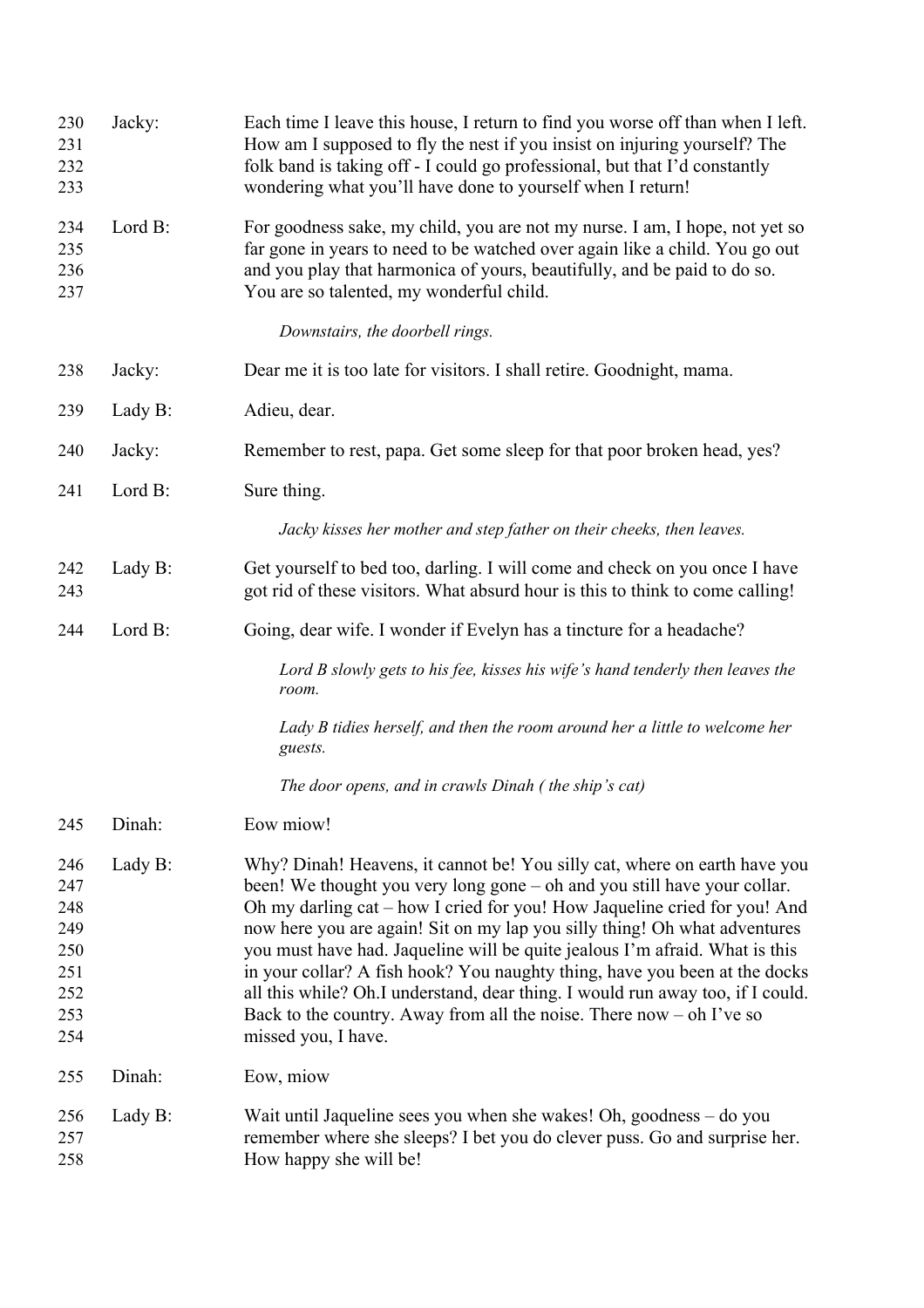| 230<br>231<br>232<br>233                                    | Jacky:  | Each time I leave this house, I return to find you worse off than when I left.<br>How am I supposed to fly the nest if you insist on injuring yourself? The<br>folk band is taking off - I could go professional, but that I'd constantly<br>wondering what you'll have done to yourself when I return!                                                                                                                                                                                                                                                                                                                                                         |
|-------------------------------------------------------------|---------|-----------------------------------------------------------------------------------------------------------------------------------------------------------------------------------------------------------------------------------------------------------------------------------------------------------------------------------------------------------------------------------------------------------------------------------------------------------------------------------------------------------------------------------------------------------------------------------------------------------------------------------------------------------------|
| 234<br>235<br>236<br>237                                    | Lord B: | For goodness sake, my child, you are not my nurse. I am, I hope, not yet so<br>far gone in years to need to be watched over again like a child. You go out<br>and you play that harmonica of yours, beautifully, and be paid to do so.<br>You are so talented, my wonderful child.                                                                                                                                                                                                                                                                                                                                                                              |
|                                                             |         | Downstairs, the doorbell rings.                                                                                                                                                                                                                                                                                                                                                                                                                                                                                                                                                                                                                                 |
| 238                                                         | Jacky:  | Dear me it is too late for visitors. I shall retire. Goodnight, mama.                                                                                                                                                                                                                                                                                                                                                                                                                                                                                                                                                                                           |
| 239                                                         | Lady B: | Adieu, dear.                                                                                                                                                                                                                                                                                                                                                                                                                                                                                                                                                                                                                                                    |
| 240                                                         | Jacky:  | Remember to rest, papa. Get some sleep for that poor broken head, yes?                                                                                                                                                                                                                                                                                                                                                                                                                                                                                                                                                                                          |
| 241                                                         | Lord B: | Sure thing.                                                                                                                                                                                                                                                                                                                                                                                                                                                                                                                                                                                                                                                     |
|                                                             |         | Jacky kisses her mother and step father on their cheeks, then leaves.                                                                                                                                                                                                                                                                                                                                                                                                                                                                                                                                                                                           |
| 242<br>243                                                  | Lady B: | Get yourself to bed too, darling. I will come and check on you once I have<br>got rid of these visitors. What absurd hour is this to think to come calling!                                                                                                                                                                                                                                                                                                                                                                                                                                                                                                     |
| 244                                                         | Lord B: | Going, dear wife. I wonder if Evelyn has a tincture for a headache?                                                                                                                                                                                                                                                                                                                                                                                                                                                                                                                                                                                             |
|                                                             |         | Lord B slowly gets to his fee, kisses his wife's hand tenderly then leaves the<br>room.                                                                                                                                                                                                                                                                                                                                                                                                                                                                                                                                                                         |
|                                                             |         | Lady B tidies herself, and then the room around her a little to welcome her<br>guests.                                                                                                                                                                                                                                                                                                                                                                                                                                                                                                                                                                          |
|                                                             |         | The door opens, and in crawls Dinah (the ship's cat)                                                                                                                                                                                                                                                                                                                                                                                                                                                                                                                                                                                                            |
| 245                                                         | Dinah:  | Eow miow!                                                                                                                                                                                                                                                                                                                                                                                                                                                                                                                                                                                                                                                       |
| 246<br>247<br>248<br>249<br>250<br>251<br>252<br>253<br>254 | Lady B: | Why? Dinah! Heavens, it cannot be! You silly cat, where on earth have you<br>been! We thought you very long gone – oh and you still have your collar.<br>Oh my darling cat – how I cried for you! How Jaqueline cried for you! And<br>now here you are again! Sit on my lap you silly thing! Oh what adventures<br>you must have had. Jaqueline will be quite jealous I'm afraid. What is this<br>in your collar? A fish hook? You naughty thing, have you been at the docks<br>all this while? Oh.I understand, dear thing. I would run away too, if I could.<br>Back to the country. Away from all the noise. There now $-$ oh I've so<br>missed you, I have. |
| 255                                                         | Dinah:  | Eow, miow                                                                                                                                                                                                                                                                                                                                                                                                                                                                                                                                                                                                                                                       |
| 256<br>257<br>258                                           | Lady B: | Wait until Jaqueline sees you when she wakes! Oh, goodness - do you<br>remember where she sleeps? I bet you do clever puss. Go and surprise her.<br>How happy she will be!                                                                                                                                                                                                                                                                                                                                                                                                                                                                                      |
|                                                             |         |                                                                                                                                                                                                                                                                                                                                                                                                                                                                                                                                                                                                                                                                 |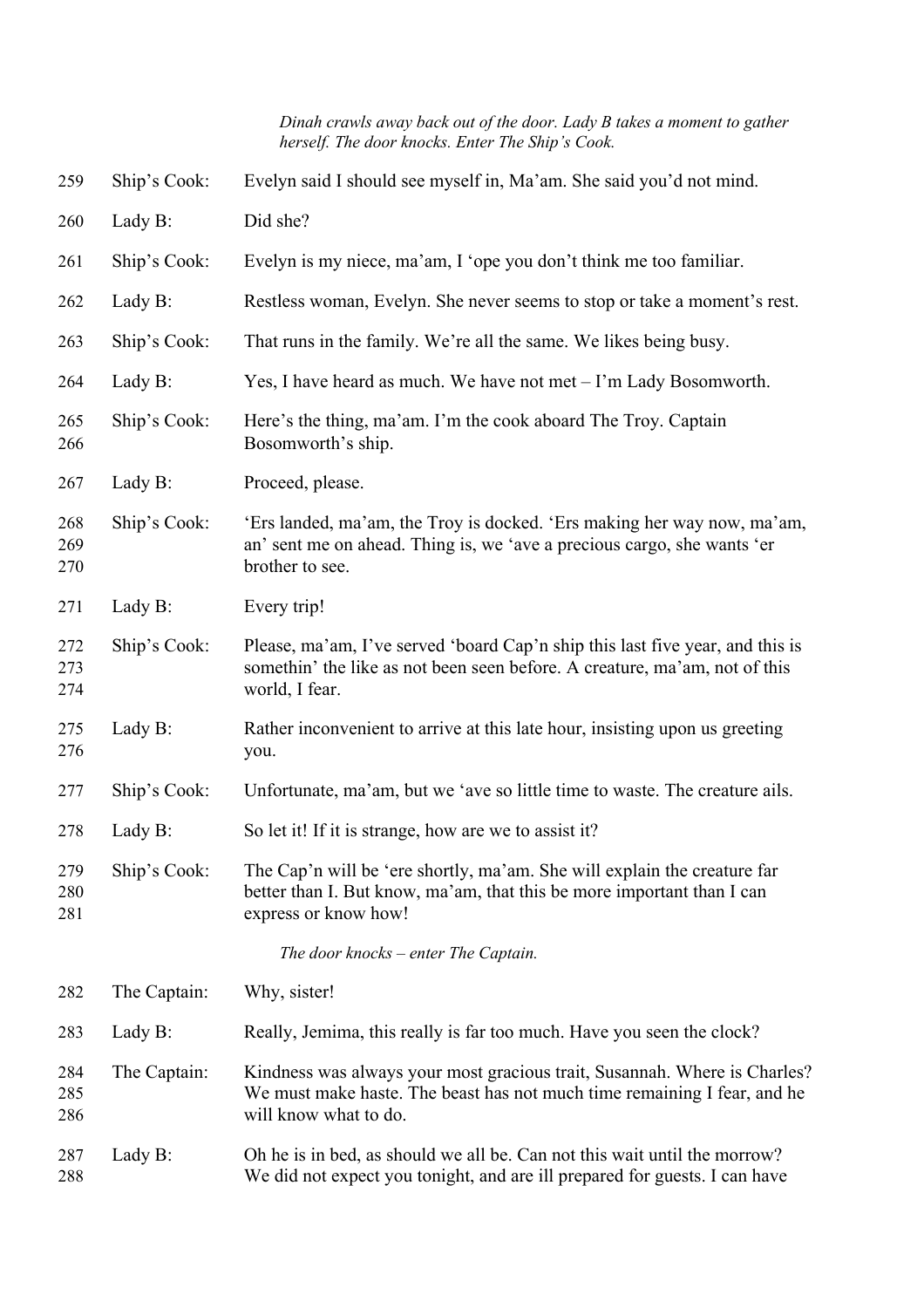*Dinah crawls away back out of the door. Lady B takes a moment to gather herself. The door knocks. Enter The Ship's Cook.*

| 259               | Ship's Cook: | Evelyn said I should see myself in, Ma'am. She said you'd not mind.                                                                                                            |
|-------------------|--------------|--------------------------------------------------------------------------------------------------------------------------------------------------------------------------------|
| 260               | Lady B:      | Did she?                                                                                                                                                                       |
| 261               | Ship's Cook: | Evelyn is my niece, ma'am, I 'ope you don't think me too familiar.                                                                                                             |
| 262               | Lady B:      | Restless woman, Evelyn. She never seems to stop or take a moment's rest.                                                                                                       |
| 263               | Ship's Cook: | That runs in the family. We're all the same. We likes being busy.                                                                                                              |
| 264               | Lady B:      | Yes, I have heard as much. We have not met $-I'm$ Lady Bosomworth.                                                                                                             |
| 265<br>266        | Ship's Cook: | Here's the thing, ma'am. I'm the cook aboard The Troy. Captain<br>Bosomworth's ship.                                                                                           |
| 267               | Lady B:      | Proceed, please.                                                                                                                                                               |
| 268<br>269<br>270 | Ship's Cook: | 'Ers landed, ma'am, the Troy is docked. 'Ers making her way now, ma'am,<br>an' sent me on ahead. Thing is, we 'ave a precious cargo, she wants 'er<br>brother to see.          |
| 271               | Lady B:      | Every trip!                                                                                                                                                                    |
| 272<br>273<br>274 | Ship's Cook: | Please, ma'am, I've served 'board Cap'n ship this last five year, and this is<br>somethin' the like as not been seen before. A creature, ma'am, not of this<br>world, I fear.  |
| 275<br>276        | Lady B:      | Rather inconvenient to arrive at this late hour, insisting upon us greeting<br>you.                                                                                            |
| 277               | Ship's Cook: | Unfortunate, ma'am, but we 'ave so little time to waste. The creature ails.                                                                                                    |
| 278               | Lady B:      | So let it! If it is strange, how are we to assist it?                                                                                                                          |
| 279<br>280<br>281 | Ship's Cook: | The Cap'n will be 'ere shortly, ma'am. She will explain the creature far<br>better than I. But know, ma'am, that this be more important than I can<br>express or know how!     |
|                   |              | The door knocks $-$ enter The Captain.                                                                                                                                         |
| 282               | The Captain: | Why, sister!                                                                                                                                                                   |
| 283               | Lady B:      | Really, Jemima, this really is far too much. Have you seen the clock?                                                                                                          |
| 284<br>285<br>286 | The Captain: | Kindness was always your most gracious trait, Susannah. Where is Charles?<br>We must make haste. The beast has not much time remaining I fear, and he<br>will know what to do. |
| 287<br>288        | Lady B:      | Oh he is in bed, as should we all be. Can not this wait until the morrow?<br>We did not expect you tonight, and are ill prepared for guests. I can have                        |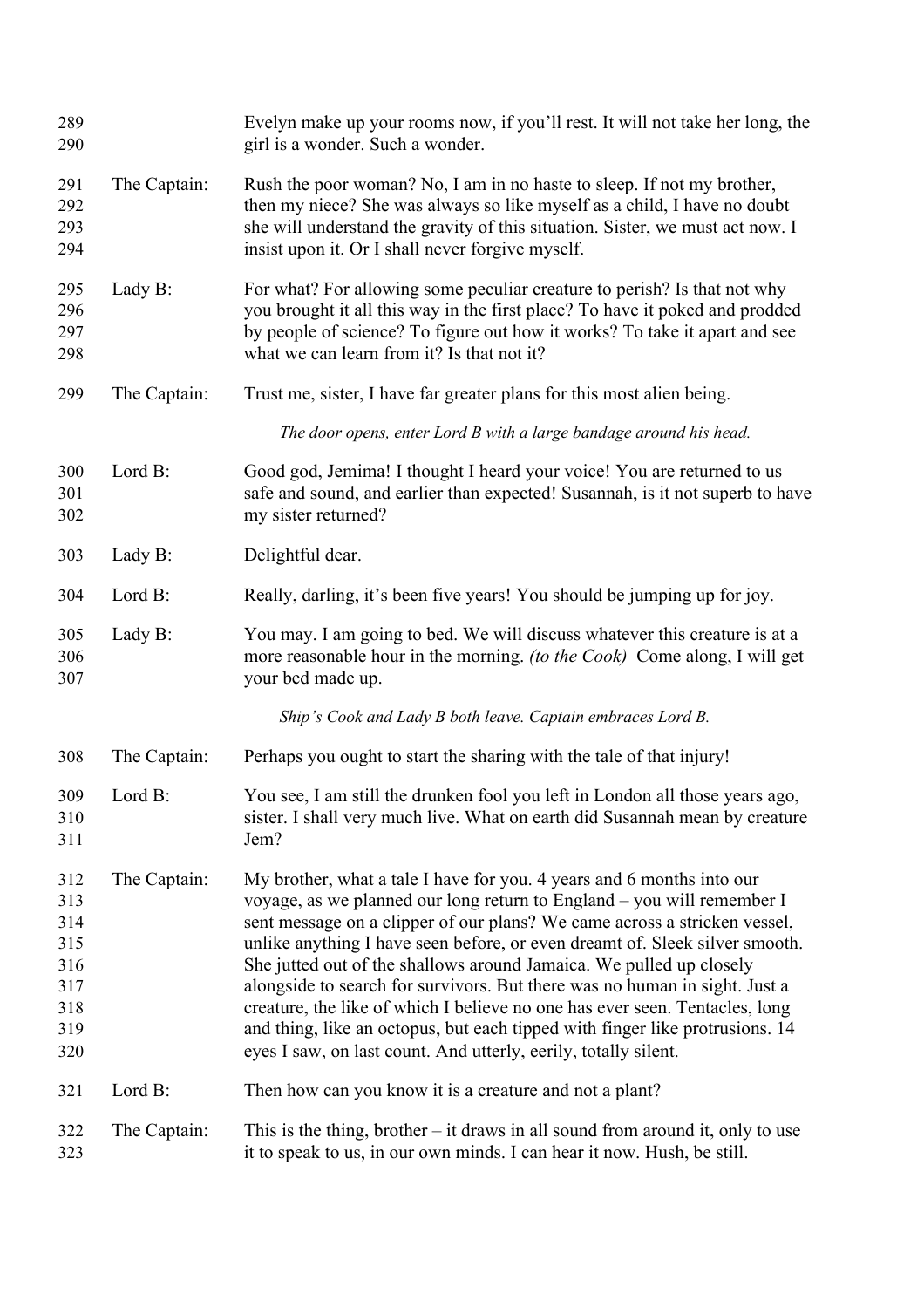| 289<br>290                                                  |              | Evelyn make up your rooms now, if you'll rest. It will not take her long, the<br>girl is a wonder. Such a wonder.                                                                                                                                                                                                                                                                                                                                                                                                                                                                                                                                                                                  |
|-------------------------------------------------------------|--------------|----------------------------------------------------------------------------------------------------------------------------------------------------------------------------------------------------------------------------------------------------------------------------------------------------------------------------------------------------------------------------------------------------------------------------------------------------------------------------------------------------------------------------------------------------------------------------------------------------------------------------------------------------------------------------------------------------|
| 291<br>292<br>293<br>294                                    | The Captain: | Rush the poor woman? No, I am in no haste to sleep. If not my brother,<br>then my niece? She was always so like myself as a child, I have no doubt<br>she will understand the gravity of this situation. Sister, we must act now. I<br>insist upon it. Or I shall never forgive myself.                                                                                                                                                                                                                                                                                                                                                                                                            |
| 295<br>296<br>297<br>298                                    | Lady B:      | For what? For allowing some peculiar creature to perish? Is that not why<br>you brought it all this way in the first place? To have it poked and prodded<br>by people of science? To figure out how it works? To take it apart and see<br>what we can learn from it? Is that not it?                                                                                                                                                                                                                                                                                                                                                                                                               |
| 299                                                         | The Captain: | Trust me, sister, I have far greater plans for this most alien being.                                                                                                                                                                                                                                                                                                                                                                                                                                                                                                                                                                                                                              |
|                                                             |              | The door opens, enter Lord B with a large bandage around his head.                                                                                                                                                                                                                                                                                                                                                                                                                                                                                                                                                                                                                                 |
| 300<br>301<br>302                                           | Lord B:      | Good god, Jemima! I thought I heard your voice! You are returned to us<br>safe and sound, and earlier than expected! Susannah, is it not superb to have<br>my sister returned?                                                                                                                                                                                                                                                                                                                                                                                                                                                                                                                     |
| 303                                                         | Lady B:      | Delightful dear.                                                                                                                                                                                                                                                                                                                                                                                                                                                                                                                                                                                                                                                                                   |
| 304                                                         | Lord B:      | Really, darling, it's been five years! You should be jumping up for joy.                                                                                                                                                                                                                                                                                                                                                                                                                                                                                                                                                                                                                           |
| 305<br>306<br>307                                           | Lady B:      | You may. I am going to bed. We will discuss whatever this creature is at a<br>more reasonable hour in the morning. <i>(to the Cook)</i> Come along, I will get<br>your bed made up.                                                                                                                                                                                                                                                                                                                                                                                                                                                                                                                |
|                                                             |              | Ship's Cook and Lady B both leave. Captain embraces Lord B.                                                                                                                                                                                                                                                                                                                                                                                                                                                                                                                                                                                                                                        |
| 308                                                         | The Captain: | Perhaps you ought to start the sharing with the tale of that injury!                                                                                                                                                                                                                                                                                                                                                                                                                                                                                                                                                                                                                               |
| 309<br>310<br>311                                           | Lord B:      | You see, I am still the drunken fool you left in London all those years ago,<br>sister. I shall very much live. What on earth did Susannah mean by creature<br>Jem?                                                                                                                                                                                                                                                                                                                                                                                                                                                                                                                                |
| 312<br>313<br>314<br>315<br>316<br>317<br>318<br>319<br>320 | The Captain: | My brother, what a tale I have for you. 4 years and 6 months into our<br>voyage, as we planned our long return to England - you will remember I<br>sent message on a clipper of our plans? We came across a stricken vessel,<br>unlike anything I have seen before, or even dreamt of. Sleek silver smooth.<br>She jutted out of the shallows around Jamaica. We pulled up closely<br>alongside to search for survivors. But there was no human in sight. Just a<br>creature, the like of which I believe no one has ever seen. Tentacles, long<br>and thing, like an octopus, but each tipped with finger like protrusions. 14<br>eyes I saw, on last count. And utterly, eerily, totally silent. |
| 321                                                         | Lord B:      | Then how can you know it is a creature and not a plant?                                                                                                                                                                                                                                                                                                                                                                                                                                                                                                                                                                                                                                            |
| 322<br>323                                                  | The Captain: | This is the thing, brother $-$ it draws in all sound from around it, only to use<br>it to speak to us, in our own minds. I can hear it now. Hush, be still.                                                                                                                                                                                                                                                                                                                                                                                                                                                                                                                                        |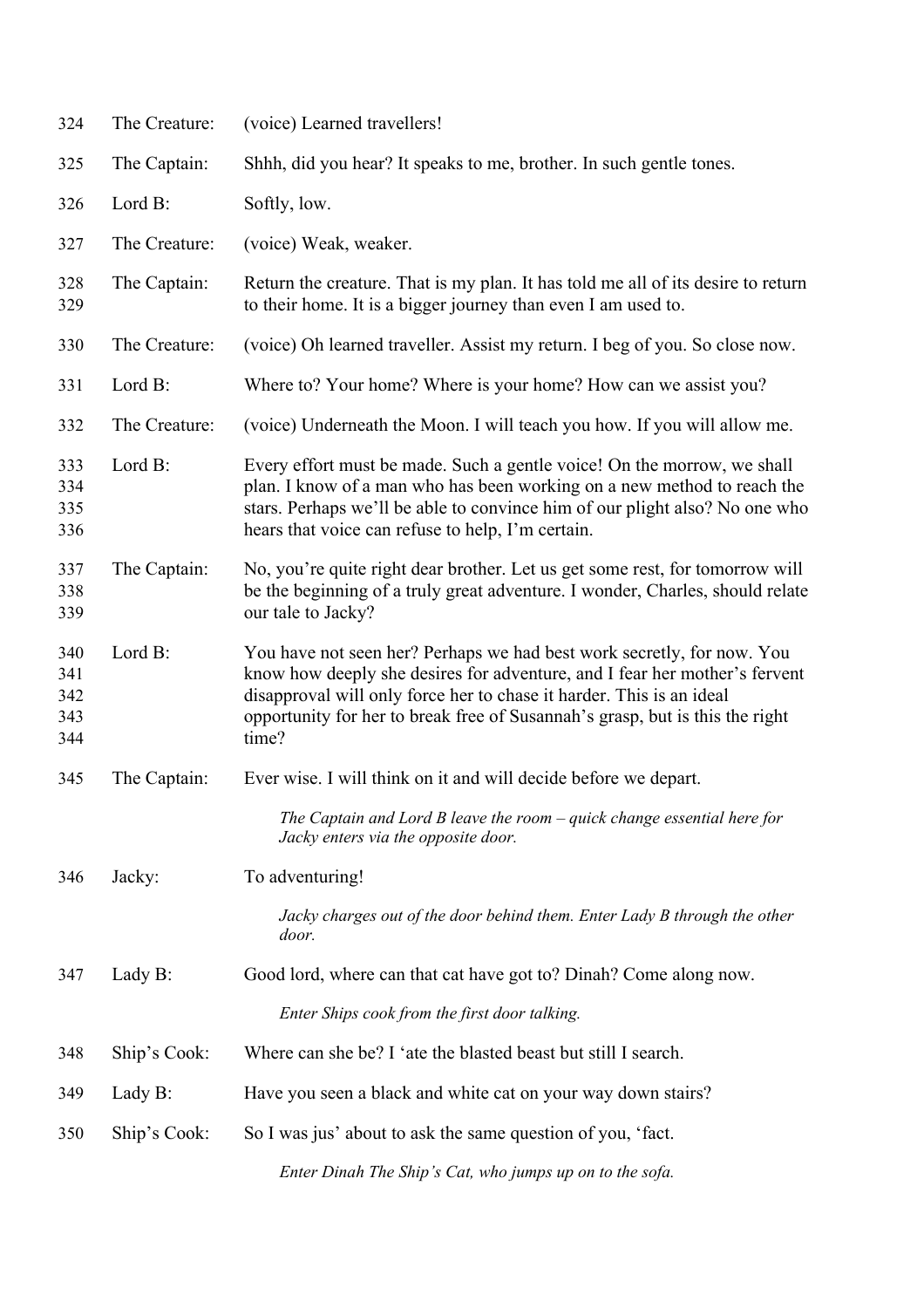| 324                             | The Creature: | (voice) Learned travellers!                                                                                                                                                                                                                                                                                           |
|---------------------------------|---------------|-----------------------------------------------------------------------------------------------------------------------------------------------------------------------------------------------------------------------------------------------------------------------------------------------------------------------|
| 325                             | The Captain:  | Shhh, did you hear? It speaks to me, brother. In such gentle tones.                                                                                                                                                                                                                                                   |
| 326                             | Lord B:       | Softly, low.                                                                                                                                                                                                                                                                                                          |
| 327                             | The Creature: | (voice) Weak, weaker.                                                                                                                                                                                                                                                                                                 |
| 328<br>329                      | The Captain:  | Return the creature. That is my plan. It has told me all of its desire to return<br>to their home. It is a bigger journey than even I am used to.                                                                                                                                                                     |
| 330                             | The Creature: | (voice) Oh learned traveller. Assist my return. I beg of you. So close now.                                                                                                                                                                                                                                           |
| 331                             | Lord B:       | Where to? Your home? Where is your home? How can we assist you?                                                                                                                                                                                                                                                       |
| 332                             | The Creature: | (voice) Underneath the Moon. I will teach you how. If you will allow me.                                                                                                                                                                                                                                              |
| 333<br>334<br>335<br>336        | Lord B:       | Every effort must be made. Such a gentle voice! On the morrow, we shall<br>plan. I know of a man who has been working on a new method to reach the<br>stars. Perhaps we'll be able to convince him of our plight also? No one who<br>hears that voice can refuse to help, I'm certain.                                |
| 337<br>338<br>339               | The Captain:  | No, you're quite right dear brother. Let us get some rest, for tomorrow will<br>be the beginning of a truly great adventure. I wonder, Charles, should relate<br>our tale to Jacky?                                                                                                                                   |
| 340<br>341<br>342<br>343<br>344 | Lord B:       | You have not seen her? Perhaps we had best work secretly, for now. You<br>know how deeply she desires for adventure, and I fear her mother's fervent<br>disapproval will only force her to chase it harder. This is an ideal<br>opportunity for her to break free of Susannah's grasp, but is this the right<br>time? |
| 345                             | The Captain:  | Ever wise. I will think on it and will decide before we depart.                                                                                                                                                                                                                                                       |
|                                 |               | The Captain and Lord B leave the room $-\frac{q}{u}$ change essential here for<br>Jacky enters via the opposite door.                                                                                                                                                                                                 |
| 346                             | Jacky:        | To adventuring!                                                                                                                                                                                                                                                                                                       |
|                                 |               | Jacky charges out of the door behind them. Enter Lady B through the other<br>door.                                                                                                                                                                                                                                    |
| 347                             | Lady B:       | Good lord, where can that cat have got to? Dinah? Come along now.                                                                                                                                                                                                                                                     |
|                                 |               | Enter Ships cook from the first door talking.                                                                                                                                                                                                                                                                         |
| 348                             | Ship's Cook:  | Where can she be? I 'ate the blasted beast but still I search.                                                                                                                                                                                                                                                        |
| 349                             | Lady B:       | Have you seen a black and white cat on your way down stairs?                                                                                                                                                                                                                                                          |
| 350                             | Ship's Cook:  | So I was jus' about to ask the same question of you, 'fact.                                                                                                                                                                                                                                                           |
|                                 |               | Enter Dinah The Ship's Cat, who jumps up on to the sofa.                                                                                                                                                                                                                                                              |
|                                 |               |                                                                                                                                                                                                                                                                                                                       |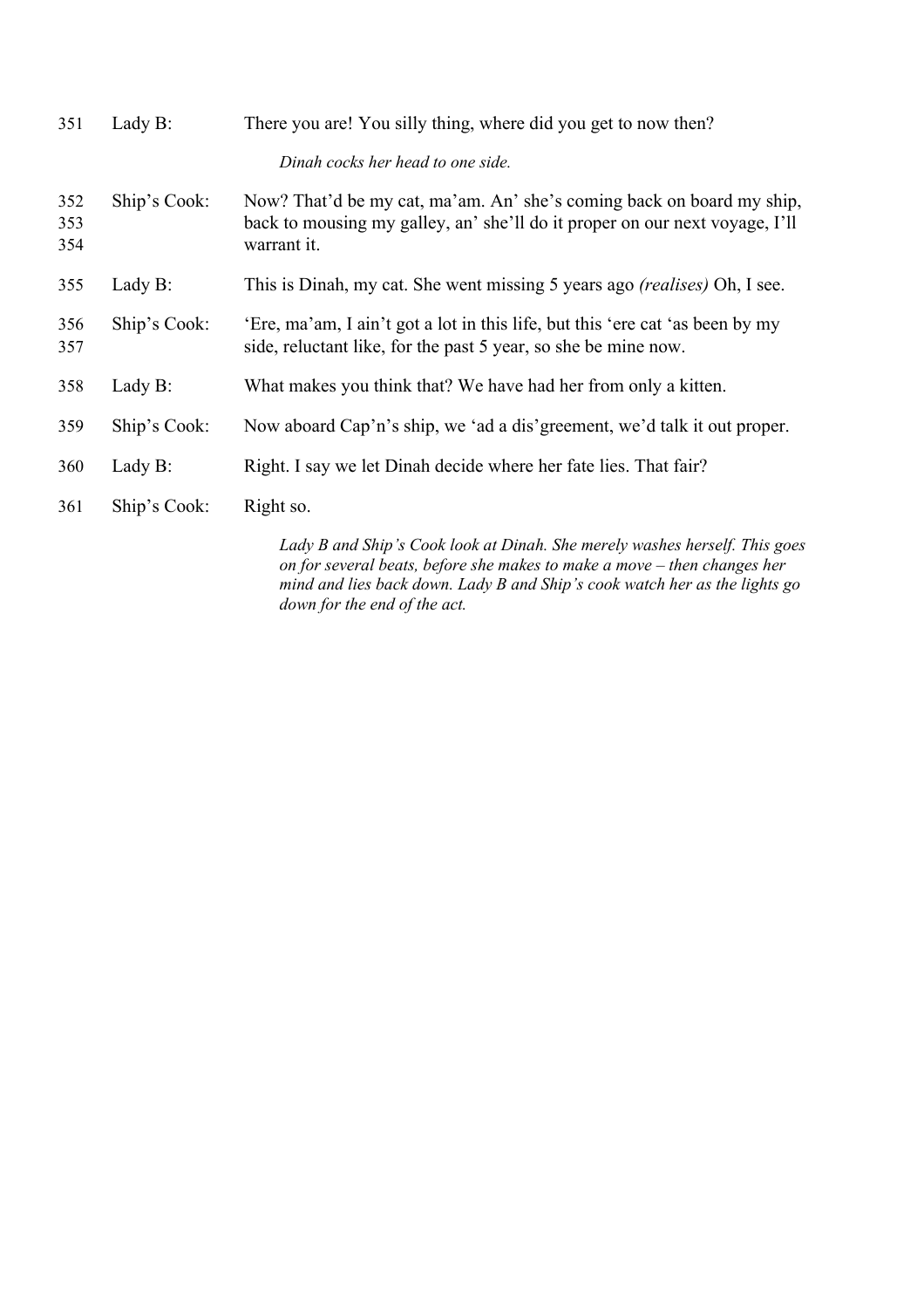| 351               | Lady B:      | There you are! You silly thing, where did you get to now then?                                                                                                      |
|-------------------|--------------|---------------------------------------------------------------------------------------------------------------------------------------------------------------------|
|                   |              | Dinah cocks her head to one side.                                                                                                                                   |
| 352<br>353<br>354 | Ship's Cook: | Now? That'd be my cat, ma'am. An' she's coming back on board my ship,<br>back to mousing my galley, an' she'll do it proper on our next voyage, I'll<br>warrant it. |
| 355               | Lady B:      | This is Dinah, my cat. She went missing 5 years ago <i>(realises)</i> Oh, I see.                                                                                    |
| 356<br>357        | Ship's Cook: | 'Ere, ma'am, I ain't got a lot in this life, but this 'ere cat 'as been by my<br>side, reluctant like, for the past 5 year, so she be mine now.                     |
| 358               | Lady B:      | What makes you think that? We have had her from only a kitten.                                                                                                      |
| 359               | Ship's Cook: | Now aboard Cap'n's ship, we 'ad a dis' greement, we'd talk it out proper.                                                                                           |
| 360               | Lady B:      | Right. I say we let Dinah decide where her fate lies. That fair?                                                                                                    |
| 361               | Ship's Cook: | Right so.                                                                                                                                                           |
|                   |              |                                                                                                                                                                     |

*Lady B and Ship's Cook look at Dinah. She merely washes herself. This goes on for several beats, before she makes to make a move – then changes her mind and lies back down. Lady B and Ship's cook watch her as the lights go down for the end of the act.*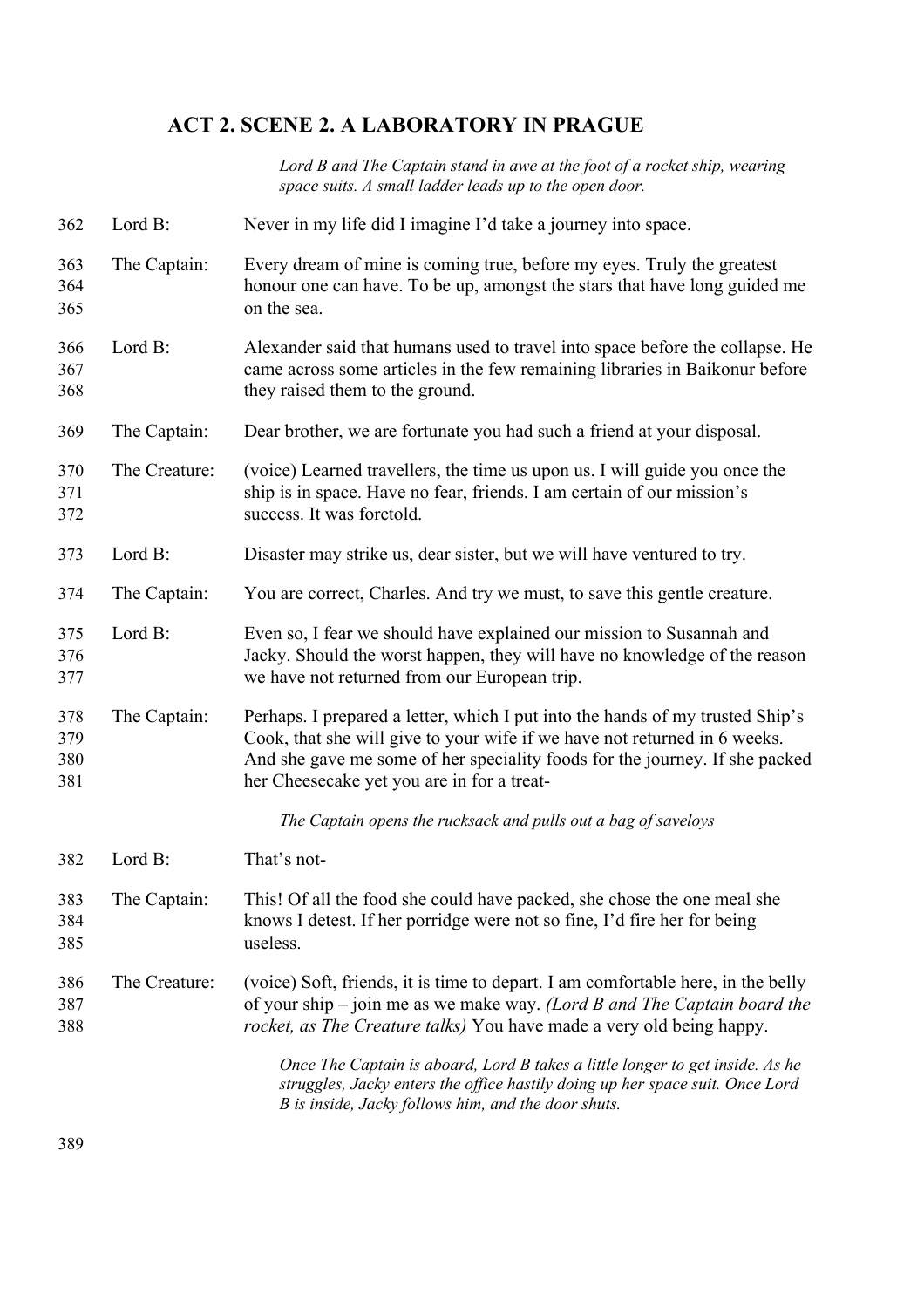# **ACT 2. SCENE 2. A LABORATORY IN PRAGUE**

*Lord B and The Captain stand in awe at the foot of a rocket ship, wearing space suits. A small ladder leads up to the open door.*

- Lord B: Never in my life did I imagine I'd take a journey into space.
- The Captain: Every dream of mine is coming true, before my eyes. Truly the greatest honour one can have. To be up, amongst the stars that have long guided me on the sea.
- Lord B: Alexander said that humans used to travel into space before the collapse. He came across some articles in the few remaining libraries in Baikonur before they raised them to the ground.
- The Captain: Dear brother, we are fortunate you had such a friend at your disposal.
- The Creature: (voice) Learned travellers, the time us upon us. I will guide you once the ship is in space. Have no fear, friends. I am certain of our mission's success. It was foretold.
- Lord B: Disaster may strike us, dear sister, but we will have ventured to try.
- The Captain: You are correct, Charles. And try we must, to save this gentle creature.
- Lord B: Even so, I fear we should have explained our mission to Susannah and Jacky. Should the worst happen, they will have no knowledge of the reason we have not returned from our European trip.
- The Captain: Perhaps. I prepared a letter, which I put into the hands of my trusted Ship's Cook, that she will give to your wife if we have not returned in 6 weeks. And she gave me some of her speciality foods for the journey. If she packed her Cheesecake yet you are in for a treat-

*The Captain opens the rucksack and pulls out a bag of saveloys*

- Lord B: That's not-
- The Captain: This! Of all the food she could have packed, she chose the one meal she knows I detest. If her porridge were not so fine, I'd fire her for being useless.
- The Creature: (voice) Soft, friends, it is time to depart. I am comfortable here, in the belly of your ship – join me as we make way. *(Lord B and The Captain board the rocket, as The Creature talks)* You have made a very old being happy.

*Once The Captain is aboard, Lord B takes a little longer to get inside. As he struggles, Jacky enters the office hastily doing up her space suit. Once Lord B is inside, Jacky follows him, and the door shuts.*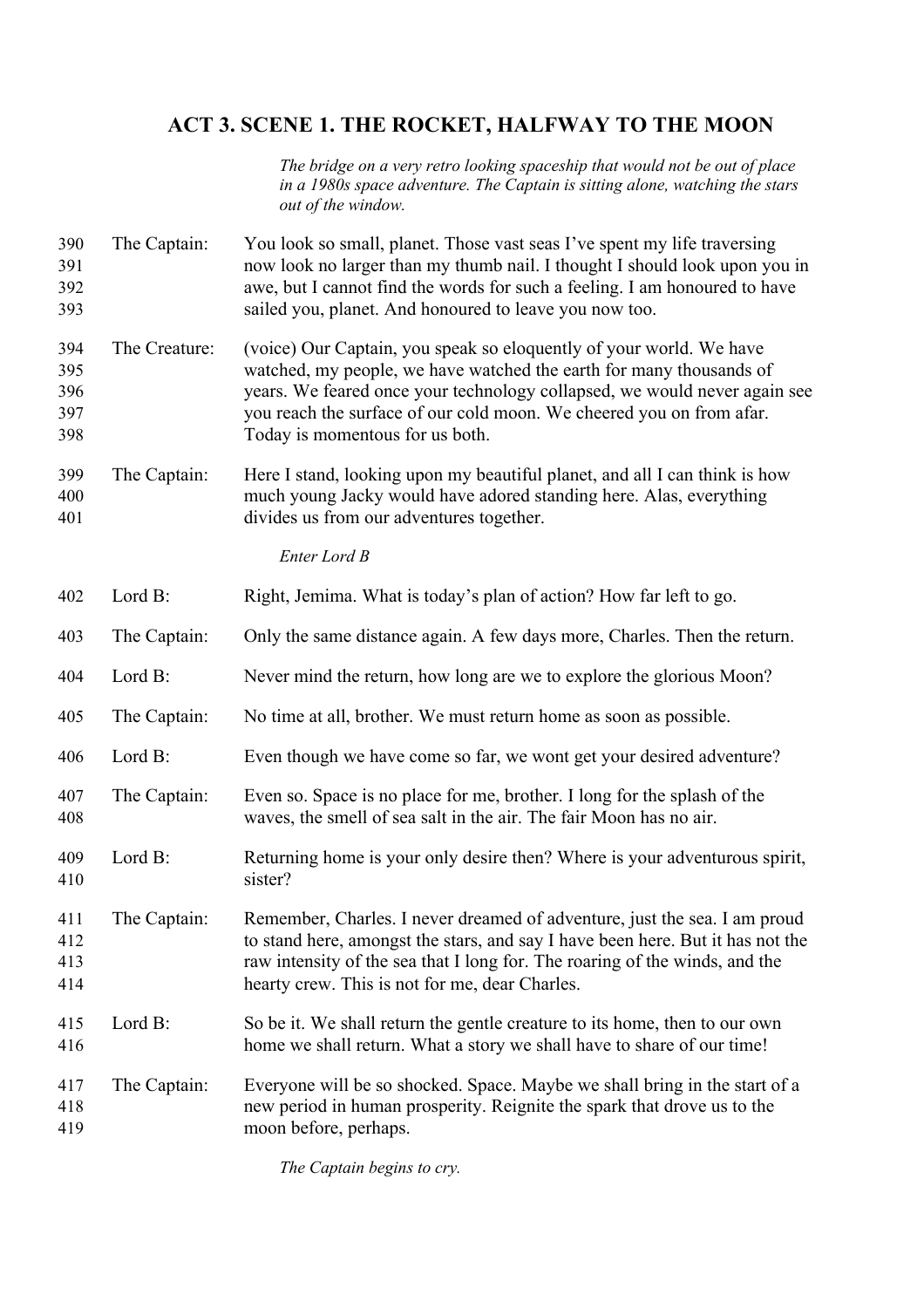# **ACT 3. SCENE 1. THE ROCKET, HALFWAY TO THE MOON**

*The bridge on a very retro looking spaceship that would not be out of place in a 1980s space adventure. The Captain is sitting alone, watching the stars out of the window.*

 The Captain: You look so small, planet. Those vast seas I've spent my life traversing now look no larger than my thumb nail. I thought I should look upon you in awe, but I cannot find the words for such a feeling. I am honoured to have sailed you, planet. And honoured to leave you now too. The Creature: (voice) Our Captain, you speak so eloquently of your world. We have watched, my people, we have watched the earth for many thousands of years. We feared once your technology collapsed, we would never again see you reach the surface of our cold moon. We cheered you on from afar. Today is momentous for us both. The Captain: Here I stand, looking upon my beautiful planet, and all I can think is how much young Jacky would have adored standing here. Alas, everything divides us from our adventures together. *Enter Lord B* Lord B: Right, Jemima. What is today's plan of action? How far left to go. The Captain: Only the same distance again. A few days more, Charles. Then the return. Lord B: Never mind the return, how long are we to explore the glorious Moon? The Captain: No time at all, brother. We must return home as soon as possible. Lord B: Even though we have come so far, we wont get your desired adventure? The Captain: Even so. Space is no place for me, brother. I long for the splash of the waves, the smell of sea salt in the air. The fair Moon has no air. Lord B: Returning home is your only desire then? Where is your adventurous spirit, sister? The Captain: Remember, Charles. I never dreamed of adventure, just the sea. I am proud to stand here, amongst the stars, and say I have been here. But it has not the raw intensity of the sea that I long for. The roaring of the winds, and the hearty crew. This is not for me, dear Charles. Lord B: So be it. We shall return the gentle creature to its home, then to our own home we shall return. What a story we shall have to share of our time! The Captain: Everyone will be so shocked. Space. Maybe we shall bring in the start of a new period in human prosperity. Reignite the spark that drove us to the moon before, perhaps.

*The Captain begins to cry.*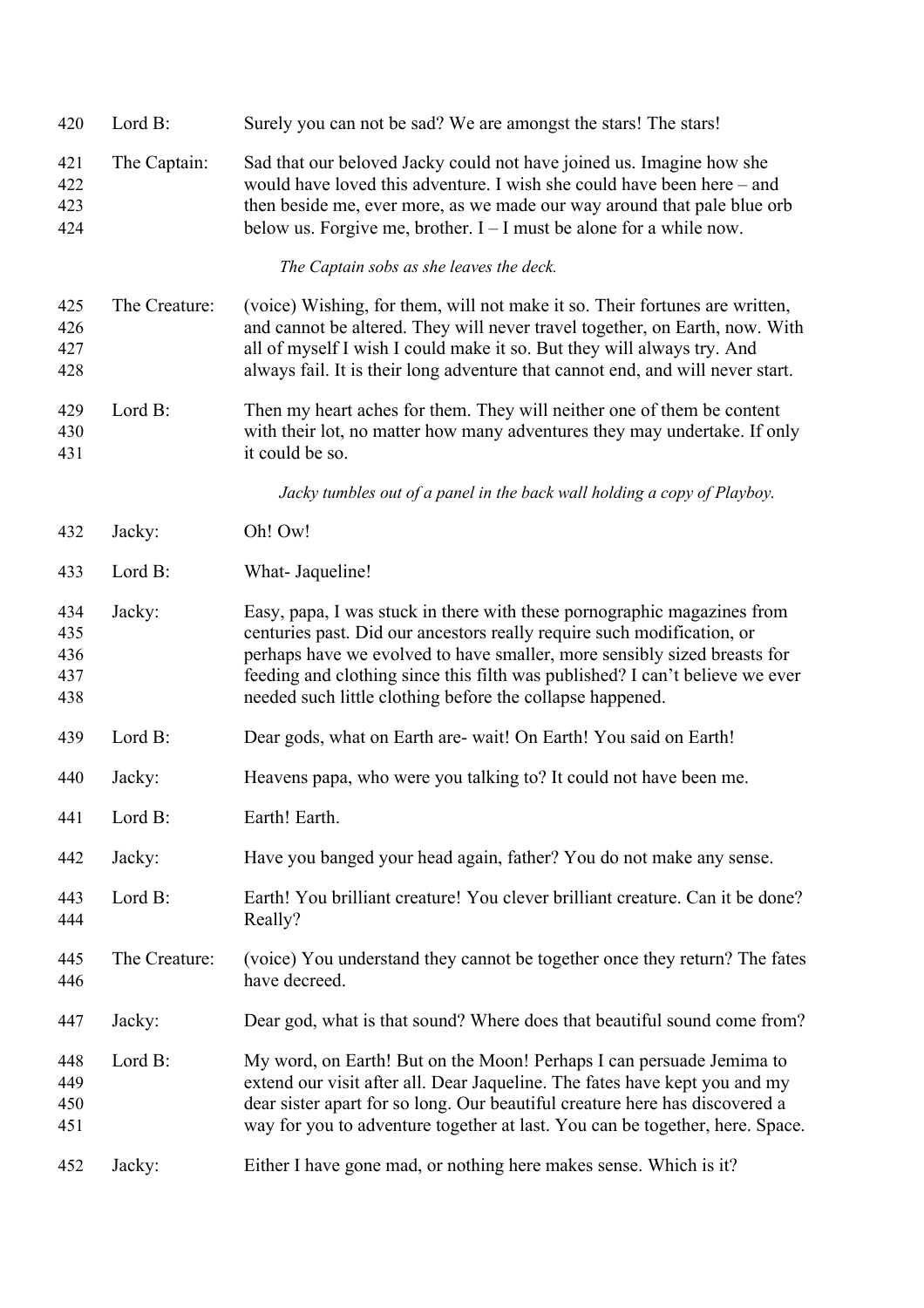| 420                             | Lord B:       | Surely you can not be sad? We are amongst the stars! The stars!                                                                                                                                                                                                                                                                                                            |
|---------------------------------|---------------|----------------------------------------------------------------------------------------------------------------------------------------------------------------------------------------------------------------------------------------------------------------------------------------------------------------------------------------------------------------------------|
| 421<br>422<br>423<br>424        | The Captain:  | Sad that our beloved Jacky could not have joined us. Imagine how she<br>would have loved this adventure. I wish she could have been here – and<br>then beside me, ever more, as we made our way around that pale blue orb<br>below us. Forgive me, brother. $I - I$ must be alone for a while now.                                                                         |
|                                 |               | The Captain sobs as she leaves the deck.                                                                                                                                                                                                                                                                                                                                   |
| 425<br>426<br>427<br>428        | The Creature: | (voice) Wishing, for them, will not make it so. Their fortunes are written,<br>and cannot be altered. They will never travel together, on Earth, now. With<br>all of myself I wish I could make it so. But they will always try. And<br>always fail. It is their long adventure that cannot end, and will never start.                                                     |
| 429<br>430<br>431               | Lord B:       | Then my heart aches for them. They will neither one of them be content<br>with their lot, no matter how many adventures they may undertake. If only<br>it could be so.                                                                                                                                                                                                     |
|                                 |               | Jacky tumbles out of a panel in the back wall holding a copy of Playboy.                                                                                                                                                                                                                                                                                                   |
| 432                             | Jacky:        | Oh! Ow!                                                                                                                                                                                                                                                                                                                                                                    |
| 433                             | Lord B:       | What- Jaqueline!                                                                                                                                                                                                                                                                                                                                                           |
| 434<br>435<br>436<br>437<br>438 | Jacky:        | Easy, papa, I was stuck in there with these pornographic magazines from<br>centuries past. Did our ancestors really require such modification, or<br>perhaps have we evolved to have smaller, more sensibly sized breasts for<br>feeding and clothing since this filth was published? I can't believe we ever<br>needed such little clothing before the collapse happened. |
| 439                             | Lord B:       | Dear gods, what on Earth are- wait! On Earth! You said on Earth!                                                                                                                                                                                                                                                                                                           |
| 440                             | Jacky:        | Heavens papa, who were you talking to? It could not have been me.                                                                                                                                                                                                                                                                                                          |
| 441                             | Lord B:       | Earth! Earth.                                                                                                                                                                                                                                                                                                                                                              |
| 442                             | Jacky:        | Have you banged your head again, father? You do not make any sense.                                                                                                                                                                                                                                                                                                        |
| 443<br>444                      | Lord B:       | Earth! You brilliant creature! You clever brilliant creature. Can it be done?<br>Really?                                                                                                                                                                                                                                                                                   |
| 445<br>446                      | The Creature: | (voice) You understand they cannot be together once they return? The fates<br>have decreed.                                                                                                                                                                                                                                                                                |
| 447                             | Jacky:        | Dear god, what is that sound? Where does that beautiful sound come from?                                                                                                                                                                                                                                                                                                   |
| 448<br>449<br>450<br>451        | Lord B:       | My word, on Earth! But on the Moon! Perhaps I can persuade Jemima to<br>extend our visit after all. Dear Jaqueline. The fates have kept you and my<br>dear sister apart for so long. Our beautiful creature here has discovered a<br>way for you to adventure together at last. You can be together, here. Space.                                                          |
| 452                             | Jacky:        | Either I have gone mad, or nothing here makes sense. Which is it?                                                                                                                                                                                                                                                                                                          |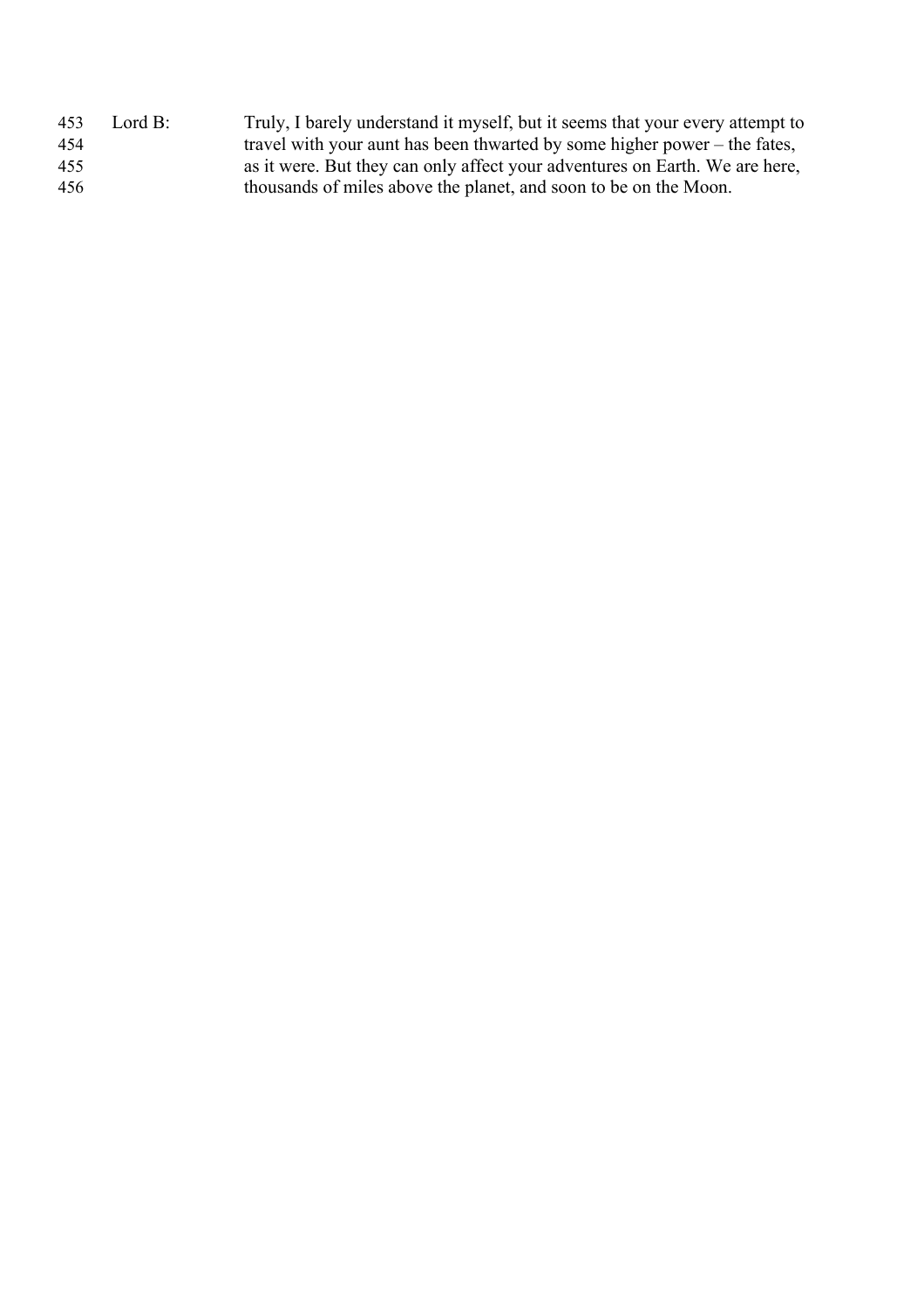| 453 | Lord B: | Truly, I barely understand it myself, but it seems that your every attempt to |
|-----|---------|-------------------------------------------------------------------------------|
| 454 |         | travel with your aunt has been thwarted by some higher power – the fates,     |
| 455 |         | as it were. But they can only affect your adventures on Earth. We are here,   |
| 456 |         | thousands of miles above the planet, and soon to be on the Moon.              |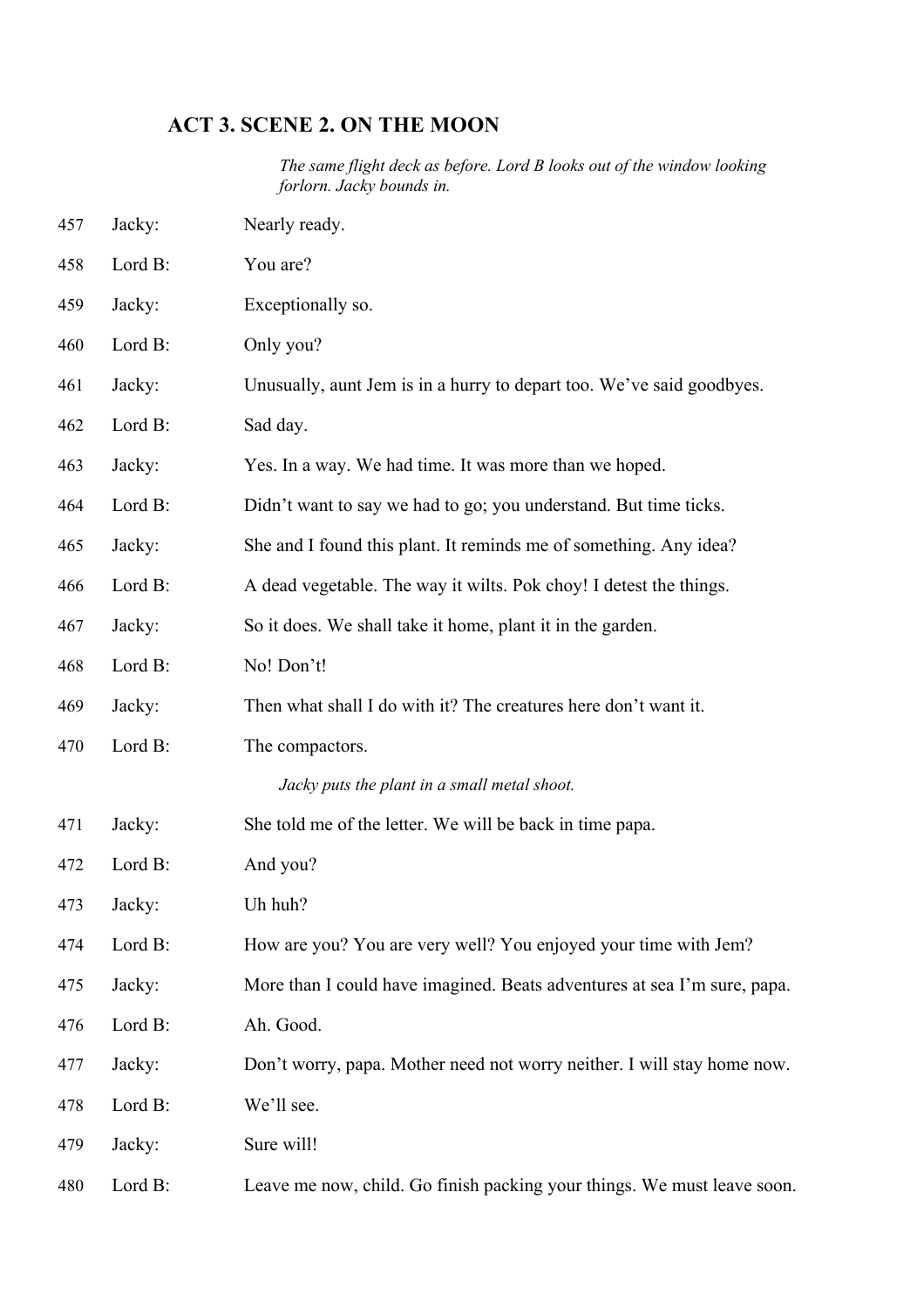# **ACT 3. SCENE 2. ON THE MOON**

*The same flight deck as before. Lord B looks out of the window looking forlorn. Jacky bounds in.*

| 457 | Jacky:  | Nearly ready.                                                            |
|-----|---------|--------------------------------------------------------------------------|
| 458 | Lord B: | You are?                                                                 |
| 459 | Jacky:  | Exceptionally so.                                                        |
| 460 | Lord B: | Only you?                                                                |
| 461 | Jacky:  | Unusually, aunt Jem is in a hurry to depart too. We've said goodbyes.    |
| 462 | Lord B: | Sad day.                                                                 |
| 463 | Jacky:  | Yes. In a way. We had time. It was more than we hoped.                   |
| 464 | Lord B: | Didn't want to say we had to go; you understand. But time ticks.         |
| 465 | Jacky:  | She and I found this plant. It reminds me of something. Any idea?        |
| 466 | Lord B: | A dead vegetable. The way it wilts. Pok choy! I detest the things.       |
| 467 | Jacky:  | So it does. We shall take it home, plant it in the garden.               |
| 468 | Lord B: | No! Don't!                                                               |
| 469 | Jacky:  | Then what shall I do with it? The creatures here don't want it.          |
| 470 | Lord B: | The compactors.                                                          |
|     |         | Jacky puts the plant in a small metal shoot.                             |
| 471 | Jacky:  | She told me of the letter. We will be back in time papa.                 |
| 472 | Lord B: | And you?                                                                 |
| 473 | Jacky:  | Uh huh?                                                                  |
| 474 | Lord B: | How are you? You are very well? You enjoyed your time with Jem?          |
| 475 | Jacky:  | More than I could have imagined. Beats adventures at sea I'm sure, papa. |
| 476 | Lord B: | Ah. Good.                                                                |
| 477 | Jacky:  | Don't worry, papa. Mother need not worry neither. I will stay home now.  |
| 478 | Lord B: | We'll see.                                                               |
| 479 | Jacky:  | Sure will!                                                               |
| 480 | Lord B: | Leave me now, child. Go finish packing your things. We must leave soon.  |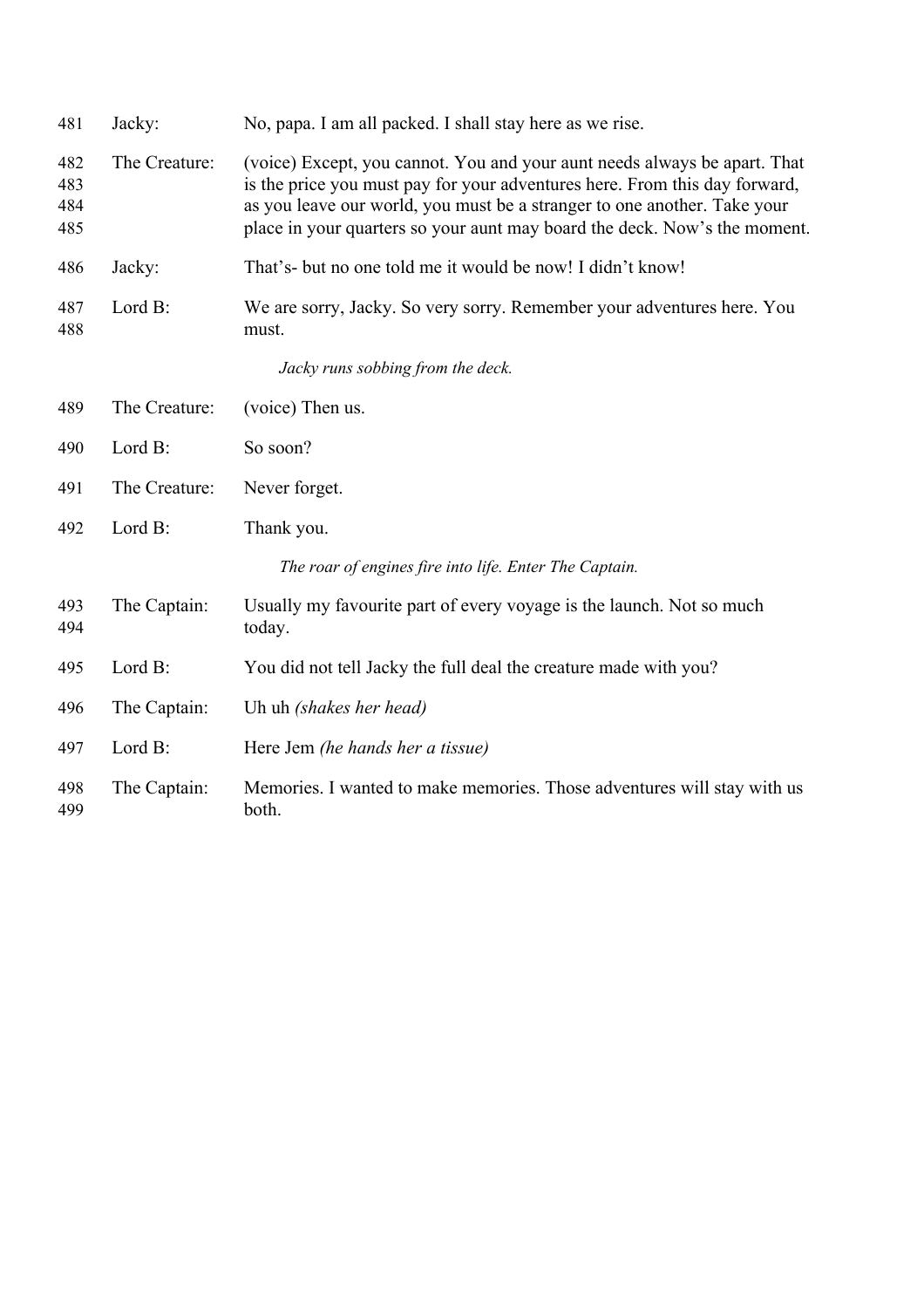| 481                      | Jacky:        | No, papa. I am all packed. I shall stay here as we rise.                                                                                                                                                                                                                                                         |
|--------------------------|---------------|------------------------------------------------------------------------------------------------------------------------------------------------------------------------------------------------------------------------------------------------------------------------------------------------------------------|
| 482<br>483<br>484<br>485 | The Creature: | (voice) Except, you cannot. You and your aunt needs always be apart. That<br>is the price you must pay for your adventures here. From this day forward,<br>as you leave our world, you must be a stranger to one another. Take your<br>place in your quarters so your aunt may board the deck. Now's the moment. |
| 486                      | Jacky:        | That's- but no one told me it would be now! I didn't know!                                                                                                                                                                                                                                                       |
| 487<br>488               | Lord B:       | We are sorry, Jacky. So very sorry. Remember your adventures here. You<br>must.                                                                                                                                                                                                                                  |
|                          |               | Jacky runs sobbing from the deck.                                                                                                                                                                                                                                                                                |
| 489                      | The Creature: | (voice) Then us.                                                                                                                                                                                                                                                                                                 |
| 490                      | Lord B:       | So soon?                                                                                                                                                                                                                                                                                                         |
| 491                      | The Creature: | Never forget.                                                                                                                                                                                                                                                                                                    |
| 492                      | Lord B:       | Thank you.                                                                                                                                                                                                                                                                                                       |
|                          |               | The roar of engines fire into life. Enter The Captain.                                                                                                                                                                                                                                                           |
| 493<br>494               | The Captain:  | Usually my favourite part of every voyage is the launch. Not so much<br>today.                                                                                                                                                                                                                                   |
| 495                      | Lord B:       | You did not tell Jacky the full deal the creature made with you?                                                                                                                                                                                                                                                 |
| 496                      | The Captain:  | Uh uh (shakes her head)                                                                                                                                                                                                                                                                                          |
| 497                      | Lord B:       | Here Jem (he hands her a tissue)                                                                                                                                                                                                                                                                                 |
| 498<br>499               | The Captain:  | Memories. I wanted to make memories. Those adventures will stay with us<br>both.                                                                                                                                                                                                                                 |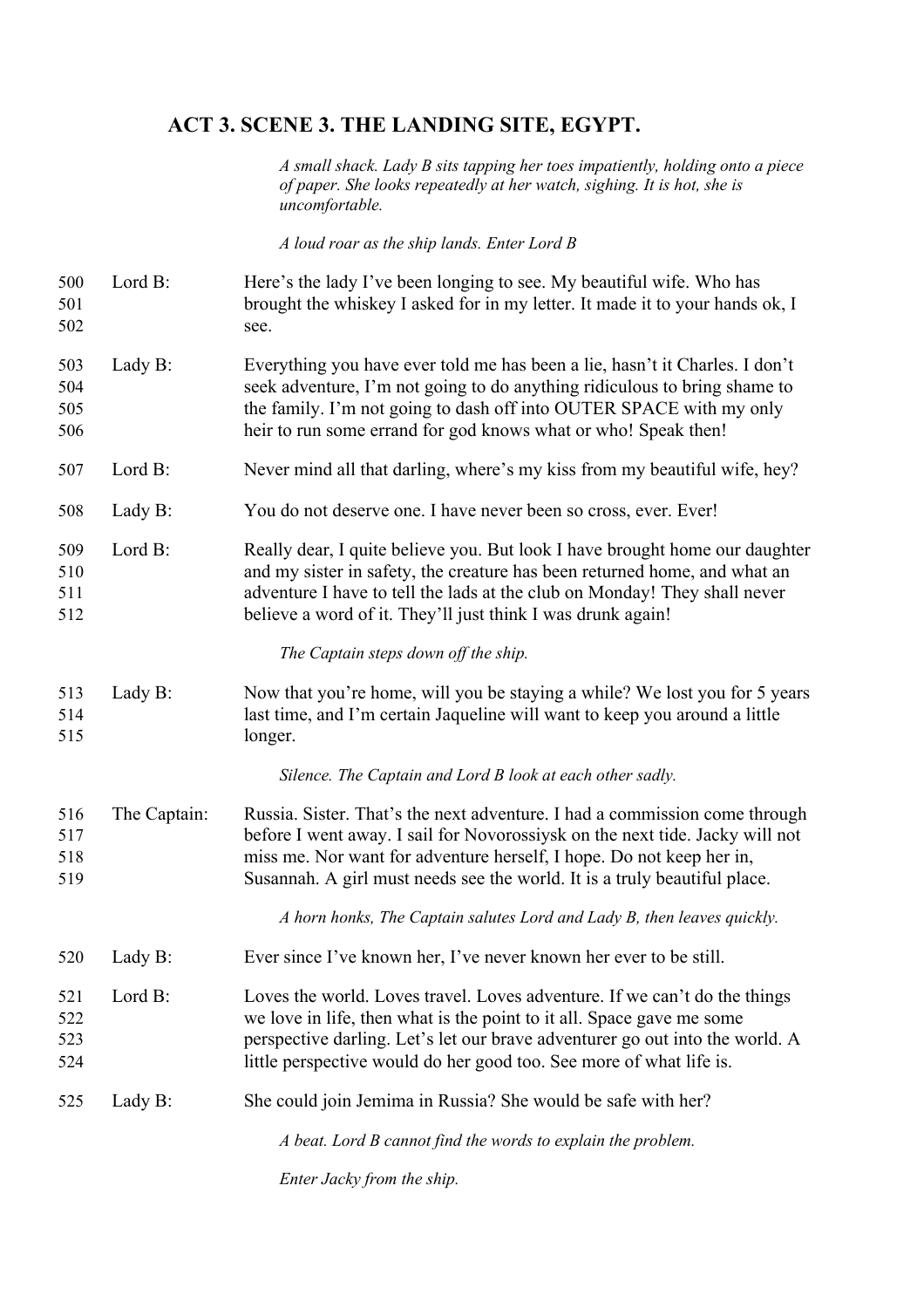### **ACT 3. SCENE 3. THE LANDING SITE, EGYPT.**

*A small shack. Lady B sits tapping her toes impatiently, holding onto a piece of paper. She looks repeatedly at her watch, sighing. It is hot, she is uncomfortable.*

*A loud roar as the ship lands. Enter Lord B*

- Lord B: Here's the lady I've been longing to see. My beautiful wife. Who has brought the whiskey I asked for in my letter. It made it to your hands ok, I see.
- Lady B: Everything you have ever told me has been a lie, hasn't it Charles. I don't seek adventure, I'm not going to do anything ridiculous to bring shame to the family. I'm not going to dash off into OUTER SPACE with my only heir to run some errand for god knows what or who! Speak then!
- Lord B: Never mind all that darling, where's my kiss from my beautiful wife, hey?
- Lady B: You do not deserve one. I have never been so cross, ever. Ever!
- Lord B: Really dear, I quite believe you. But look I have brought home our daughter and my sister in safety, the creature has been returned home, and what an adventure I have to tell the lads at the club on Monday! They shall never believe a word of it. They'll just think I was drunk again!

#### *The Captain steps down off the ship.*

 Lady B: Now that you're home, will you be staying a while? We lost you for 5 years last time, and I'm certain Jaqueline will want to keep you around a little longer.

*Silence. The Captain and Lord B look at each other sadly.*

 The Captain: Russia. Sister. That's the next adventure. I had a commission come through before I went away. I sail for Novorossiysk on the next tide. Jacky will not miss me. Nor want for adventure herself, I hope. Do not keep her in, Susannah. A girl must needs see the world. It is a truly beautiful place.

*A horn honks, The Captain salutes Lord and Lady B, then leaves quickly.*

- Lady B: Ever since I've known her, I've never known her ever to be still.
- Lord B: Loves the world. Loves travel. Loves adventure. If we can't do the things we love in life, then what is the point to it all. Space gave me some perspective darling. Let's let our brave adventurer go out into the world. A little perspective would do her good too. See more of what life is.

Lady B: She could join Jemima in Russia? She would be safe with her?

*A beat. Lord B cannot find the words to explain the problem.*

*Enter Jacky from the ship.*